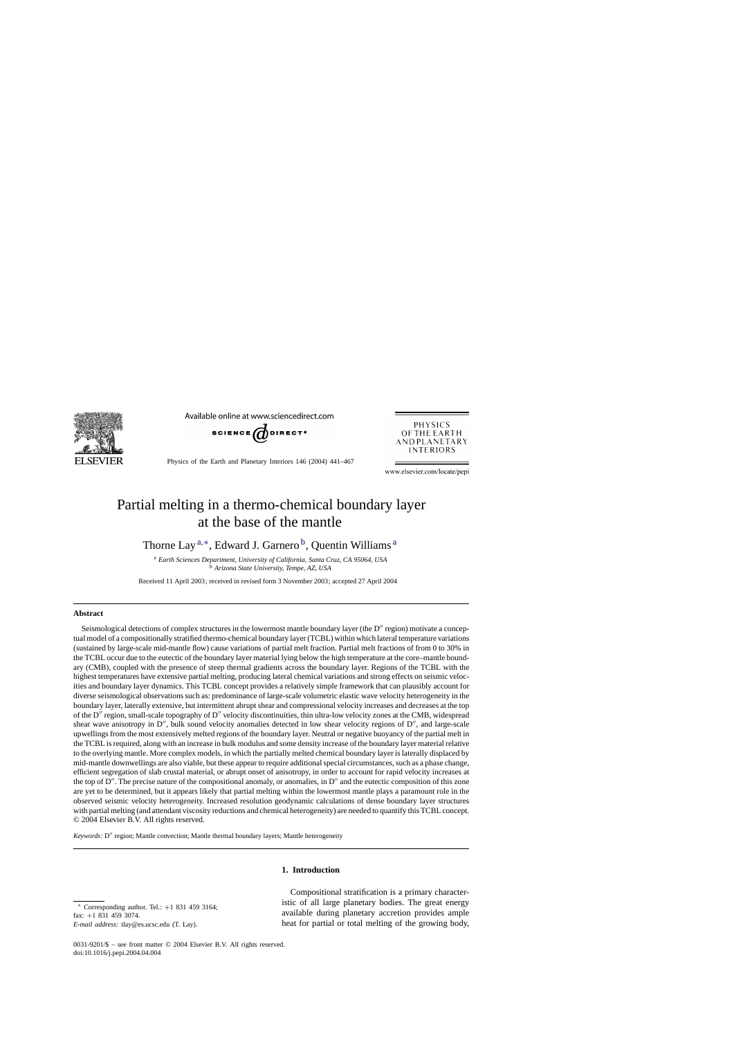

Available online at www.sciencedirect.com



Physics of the Earth and Planetary Interiors 146 (2004) 441–467



www.elsevier.com/locate/pepi

# Partial melting in a thermo-chemical boundary layer at the base of the mantle

Thorne Lay<sup>a,\*</sup>, Edward J. Garnero<sup>b</sup>, Quentin Williams<sup>a</sup>

<sup>a</sup> *Earth Sciences Department, University of California, Santa Cruz, CA 95064, USA* <sup>b</sup> *Arizona State University, Tempe, AZ, USA*

Received 11 April 2003; received in revised form 3 November 2003; accepted 27 April 2004

# **Abstract**

Seismological detections of complex structures in the lowermost mantle boundary layer (the D" region) motivate a conceptual model of a compositionally stratified thermo-chemical boundary layer (TCBL) within which lateral temperature variations (sustained by large-scale mid-mantle flow) cause variations of partial melt fraction. Partial melt fractions of from 0 to 30% in the TCBL occur due to the eutectic of the boundary layer material lying below the high temperature at the core–mantle boundary (CMB), coupled with the presence of steep thermal gradients across the boundary layer. Regions of the TCBL with the highest temperatures have extensive partial melting, producing lateral chemical variations and strong effects on seismic velocities and boundary layer dynamics. This TCBL concept provides a relatively simple framework that can plausibly account for diverse seismological observations such as: predominance of large-scale volumetric elastic wave velocity heterogeneity in the boundary layer, laterally extensive, but intermittent abrupt shear and compressional velocity increases and decreases at the top of the D'' region, small-scale topography of D'' velocity discontinuities, thin ultra-low velocity zones at the CMB, widespread shear wave anisotropy in  $D''$ , bulk sound velocity anomalies detected in low shear velocity regions of  $D''$ , and large-scale upwellings from the most extensively melted regions of the boundary layer. Neutral or negative buoyancy of the partial melt in the TCBL is required, along with an increase in bulk modulus and some density increase of the boundary layer material relative to the overlying mantle. More complex models, in which the partially melted chemical boundary layer is laterally displaced by mid-mantle downwellings are also viable, but these appear to require additional special circumstances, such as a phase change, efficient segregation of slab crustal material, or abrupt onset of anisotropy, in order to account for rapid velocity increases at the top of  $D''$ . The precise nature of the compositional anomaly, or anomalies, in  $D''$  and the eutectic composition of this zone are yet to be determined, but it appears likely that partial melting within the lowermost mantle plays a paramount role in the observed seismic velocity heterogeneity. Increased resolution geodynamic calculations of dense boundary layer structures with partial melting (and attendant viscosity reductions and chemical heterogeneity) are needed to quantify this TCBL concept. © 2004 Elsevier B.V. All rights reserved.

Keywords: D" region; Mantle convection; Mantle thermal boundary layers; Mantle heterogeneity

# **1. Introduction**

Compositional stratification is a primary characteristic of all large planetary bodies. The great energy available during planetary accretion provides ample heat for partial or total melting of the growing body,

<sup>∗</sup> Corresponding author. Tel.: +1 831 459 3164; fax: +1 831 459 3074. *E-mail address:* tlay@es.ucsc.edu (T. Lay).

<sup>0031-9201/\$ –</sup> see front matter © 2004 Elsevier B.V. All rights reserved. doi:10.1016/j.pepi.2004.04.004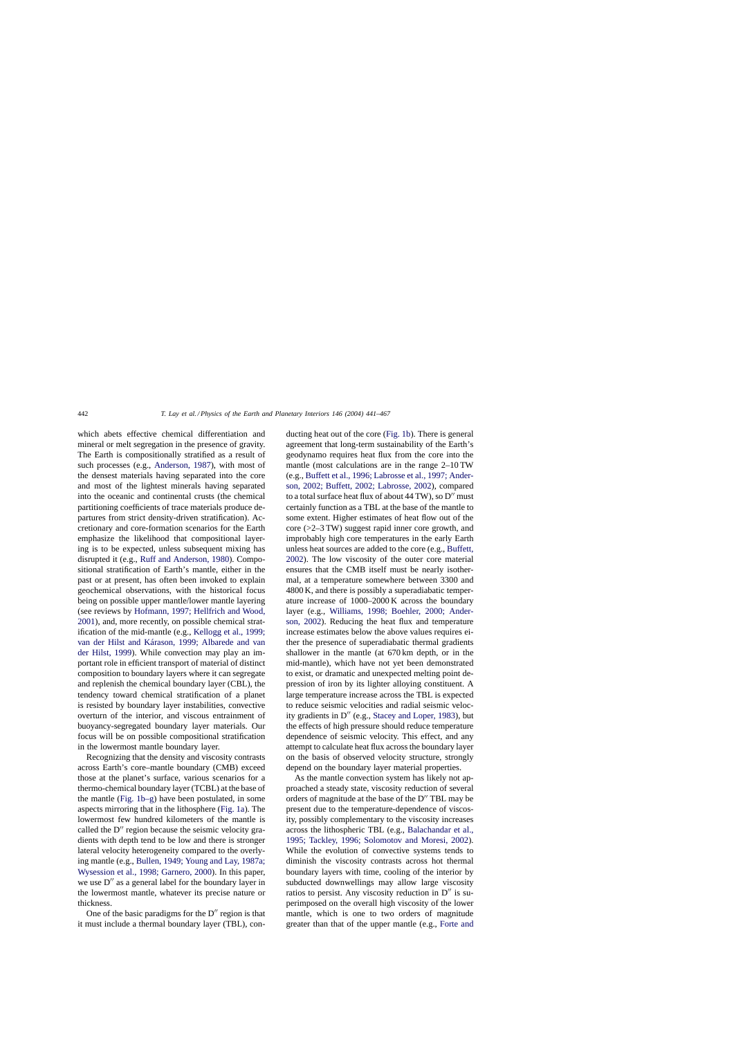which abets effective chemical differentiation and mineral or melt segregation in the presence of gravity. The Earth is compositionally stratified as a result of such processes (e.g., [Anderson, 1987\),](#page-21-0) with most of the densest materials having separated into the core and most of the lightest minerals having separated into the oceanic and continental crusts (the chemical partitioning coefficients of trace materials produce departures from strict density-driven stratification). Accretionary and core-formation scenarios for the Earth emphasize the likelihood that compositional layering is to be expected, unless subsequent mixing has disrupted it (e.g., [Ruff and Anderson, 1980\).](#page-25-0) Compositional stratification of Earth's mantle, either in the past or at present, has often been invoked to explain geochemical observations, with the historical focus being on possible upper mantle/lower mantle layering (see reviews by [Hofmann, 1997; Hellfrich and Wood,](#page-23-0) [2001\),](#page-23-0) and, more recently, on possible chemical stratification of the mid-mantle (e.g., [Kellogg et al., 1999;](#page-23-0) [van der Hilst and Kárason, 1999; Albarede and van](#page-23-0) [der Hilst, 1999\).](#page-23-0) While convection may play an important role in efficient transport of material of distinct composition to boundary layers where it can segregate and replenish the chemical boundary layer (CBL), the tendency toward chemical stratification of a planet is resisted by boundary layer instabilities, convective overturn of the interior, and viscous entrainment of buoyancy-segregated boundary layer materials. Our focus will be on possible compositional stratification in the lowermost mantle boundary layer.

Recognizing that the density and viscosity contrasts across Earth's core–mantle boundary (CMB) exceed those at the planet's surface, various scenarios for a thermo-chemical boundary layer (TCBL) at the base of the mantle ([Fig. 1b–g\)](#page-2-0) have been postulated, in some aspects mirroring that in the lithosphere [\(Fig. 1a\).](#page-2-0) The lowermost few hundred kilometers of the mantle is called the  $D''$  region because the seismic velocity gradients with depth tend to be low and there is stronger lateral velocity heterogeneity compared to the overlying mantle (e.g., [Bullen, 1949; Young and Lay, 1987a;](#page-22-0) [Wysession et al., 1998; Garnero, 2000\).](#page-22-0) In this paper, we use D" as a general label for the boundary layer in the lowermost mantle, whatever its precise nature or thickness.

One of the basic paradigms for the  $D''$  region is that it must include a thermal boundary layer (TBL), conducting heat out of the core [\(Fig. 1b\).](#page-2-0) There is general agreement that long-term sustainability of the Earth's geodynamo requires heat flux from the core into the mantle (most calculations are in the range 2–10 TW (e.g., [Buffett et al., 1996; Labrosse et al., 1997; Ander](#page-22-0)[son, 2002; Buffett, 2002; Labrosse, 2002\),](#page-22-0) compared to a total surface heat flux of about  $44\,\mathrm{TW}$ ), so  $\mathbf{D}''$  must certainly function as a TBL at the base of the mantle to some extent. Higher estimates of heat flow out of the core (>2–3 TW) suggest rapid inner core growth, and improbably high core temperatures in the early Earth unless heat sources are added to the core (e.g., [Buffett,](#page-22-0) [2002\).](#page-22-0) The low viscosity of the outer core material ensures that the CMB itself must be nearly isothermal, at a temperature somewhere between 3300 and 4800 K, and there is possibly a superadiabatic temperature increase of 1000–2000 K across the boundary layer (e.g., [Williams, 1998; Boehler, 2000; Ander](#page-26-0)[son, 2002\).](#page-26-0) Reducing the heat flux and temperature increase estimates below the above values requires either the presence of superadiabatic thermal gradients shallower in the mantle (at 670 km depth, or in the mid-mantle), which have not yet been demonstrated to exist, or dramatic and unexpected melting point depression of iron by its lighter alloying constituent. A large temperature increase across the TBL is expected to reduce seismic velocities and radial seismic veloc-ity gradients in D" (e.g., [Stacey and Loper, 1983\),](#page-25-0) but the effects of high pressure should reduce temperature dependence of seismic velocity. This effect, and any attempt to calculate heat flux across the boundary layer on the basis of observed velocity structure, strongly depend on the boundary layer material properties.

As the mantle convection system has likely not approached a steady state, viscosity reduction of several orders of magnitude at the base of the D" TBL may be present due to the temperature-dependence of viscosity, possibly complementary to the viscosity increases across the lithospheric TBL (e.g., [Balachandar et al.,](#page-21-0) [1995; Tackley, 1996; Solomotov and Moresi, 2002\)](#page-21-0). While the evolution of convective systems tends to diminish the viscosity contrasts across hot thermal boundary layers with time, cooling of the interior by subducted downwellings may allow large viscosity ratios to persist. Any viscosity reduction in  $D''$  is superimposed on the overall high viscosity of the lower mantle, which is one to two orders of magnitude greater than that of the upper mantle (e.g., [Forte and](#page-22-0)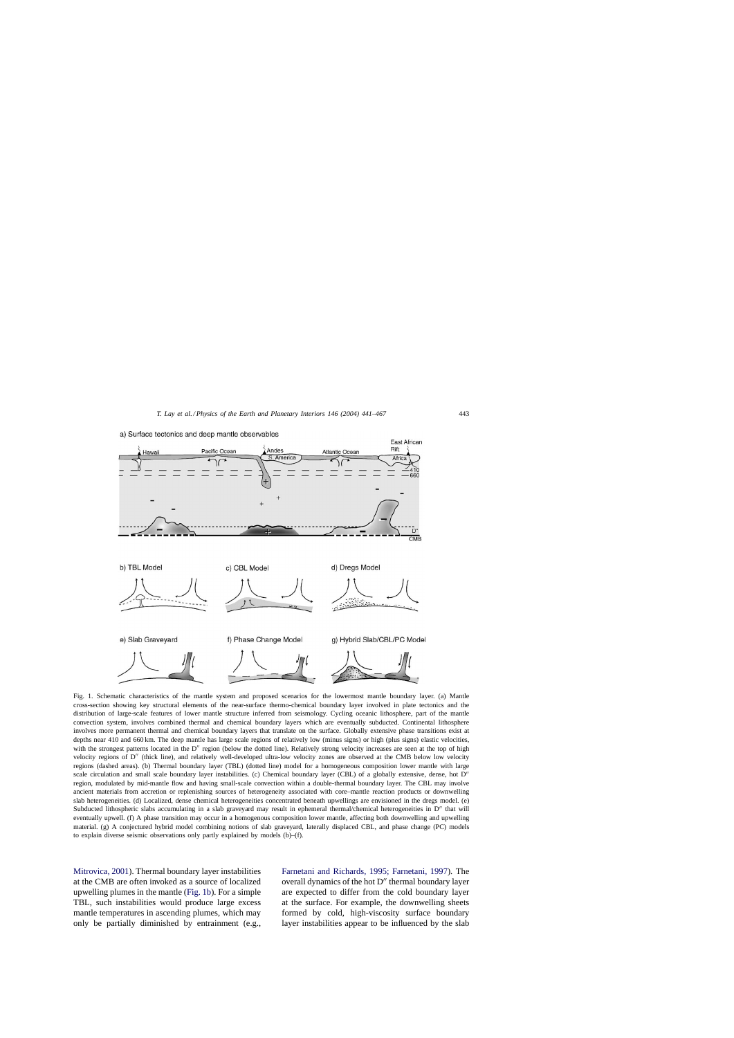

<span id="page-2-0"></span>a) Surface tectonics and deep mantle observables

Fig. 1. Schematic characteristics of the mantle system and proposed scenarios for the lowermost mantle boundary layer. (a) Mantle cross-section showing key structural elements of the near-surface thermo-chemical boundary layer involved in plate tectonics and the distribution of large-scale features of lower mantle structure inferred from seismology. Cycling oceanic lithosphere, part of the mantle convection system, involves combined thermal and chemical boundary layers which are eventually subducted. Continental lithosphere involves more permanent thermal and chemical boundary layers that translate on the surface. Globally extensive phase transitions exist at depths near 410 and 660 km. The deep mantle has large scale regions of relatively low (minus signs) or high (plus signs) elastic velocities, with the strongest patterns located in the  $D''$  region (below the dotted line). Relatively strong velocity increases are seen at the top of high velocity regions of D" (thick line), and relatively well-developed ultra-low velocity zones are observed at the CMB below low velocity regions (dashed areas). (b) Thermal boundary layer (TBL) (dotted line) model for a homogeneous composition lower mantle with large scale circulation and small scale boundary layer instabilities. (c) Chemical boundary layer (CBL) of a globally extensive, dense, hot D'' region, modulated by mid-mantle flow and having small-scale convection within a double-thermal boundary layer. The CBL may involve ancient materials from accretion or replenishing sources of heterogeneity associated with core–mantle reaction products or downwelling slab heterogeneities. (d) Localized, dense chemical heterogeneities concentrated beneath upwellings are envisioned in the dregs model. (e) Subducted lithospheric slabs accumulating in a slab graveyard may result in ephemeral thermal/chemical heterogeneities in  $D''$  that will eventually upwell. (f) A phase transition may occur in a homogenous composition lower mantle, affecting both downwelling and upwelling material. (g) A conjectured hybrid model combining notions of slab graveyard, laterally displaced CBL, and phase change (PC) models to explain diverse seismic observations only partly explained by models (b)–(f).

[Mitrovica, 2001\).](#page-22-0) Thermal boundary layer instabilities at the CMB are often invoked as a source of localized upwelling plumes in the mantle (Fig. 1b). For a simple TBL, such instabilities would produce large excess mantle temperatures in ascending plumes, which may only be partially diminished by entrainment (e.g.,

[Farnetani and Richards, 1995; Farnetani, 1997\)](#page-22-0). The overall dynamics of the hot  $D''$  thermal boundary layer are expected to differ from the cold boundary layer at the surface. For example, the downwelling sheets formed by cold, high-viscosity surface boundary layer instabilities appear to be influenced by the slab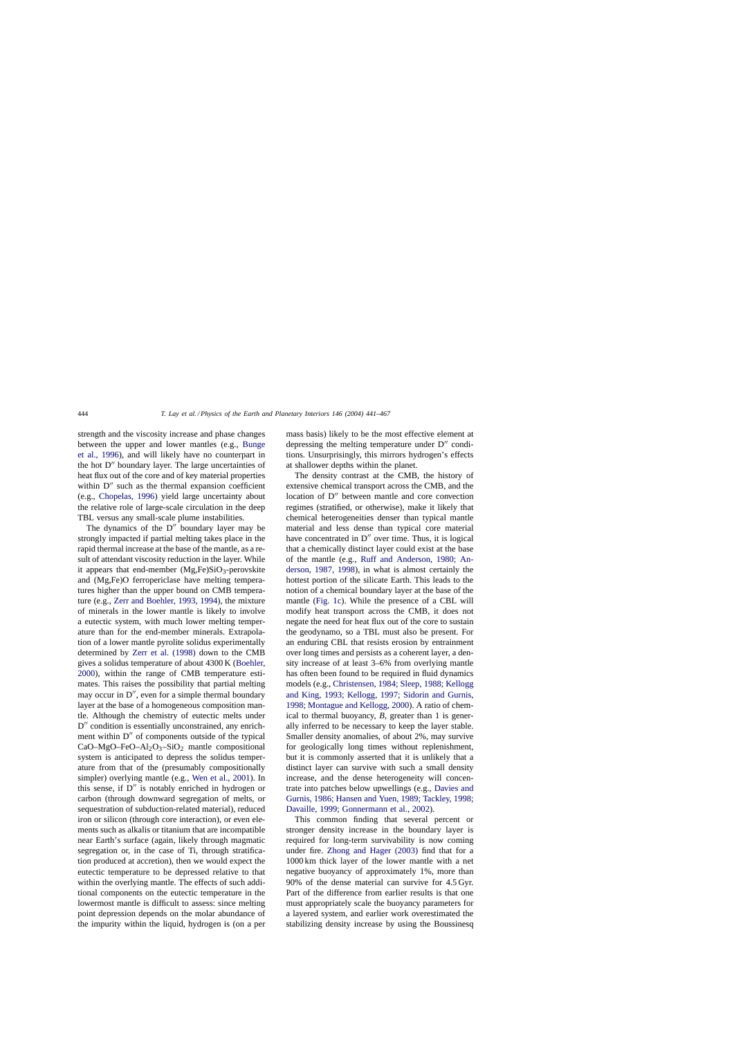strength and the viscosity increase and phase changes between the upper and lower mantles (e.g., [Bunge](#page-22-0) [et al., 1996\),](#page-22-0) and will likely have no counterpart in the hot  $D''$  boundary layer. The large uncertainties of heat flux out of the core and of key material properties within  $D''$  such as the thermal expansion coefficient (e.g., [Chopelas, 1996\)](#page-22-0) yield large uncertainty about the relative role of large-scale circulation in the deep TBL versus any small-scale plume instabilities.

The dynamics of the  $D''$  boundary layer may be strongly impacted if partial melting takes place in the rapid thermal increase at the base of the mantle, as a result of attendant viscosity reduction in the layer. While it appears that end-member  $(Mg,Fe)SiO<sub>3</sub>$ -perovskite and (Mg,Fe)O ferropericlase have melting temperatures higher than the upper bound on CMB temperature (e.g., [Zerr and Boehler, 1993, 1994\),](#page-26-0) the mixture of minerals in the lower mantle is likely to involve a eutectic system, with much lower melting temperature than for the end-member minerals. Extrapolation of a lower mantle pyrolite solidus experimentally determined by [Zerr et al. \(1998\)](#page-26-0) down to the CMB gives a solidus temperature of about 4300 K ([Boehler,](#page-21-0) [2000\),](#page-21-0) within the range of CMB temperature estimates. This raises the possibility that partial melting may occur in  $D''$ , even for a simple thermal boundary layer at the base of a homogeneous composition mantle. Although the chemistry of eutectic melts under D" condition is essentially unconstrained, any enrichment within  $D''$  of components outside of the typical CaO–MgO–FeO–Al<sub>2</sub>O<sub>3</sub>–SiO<sub>2</sub> mantle compositional system is anticipated to depress the solidus temperature from that of the (presumably compositionally simpler) overlying mantle (e.g., [Wen et al., 2001\).](#page-26-0) In this sense, if  $D''$  is notably enriched in hydrogen or carbon (through downward segregation of melts, or sequestration of subduction-related material), reduced iron or silicon (through core interaction), or even elements such as alkalis or titanium that are incompatible near Earth's surface (again, likely through magmatic segregation or, in the case of Ti, through stratification produced at accretion), then we would expect the eutectic temperature to be depressed relative to that within the overlying mantle. The effects of such additional components on the eutectic temperature in the lowermost mantle is difficult to assess: since melting point depression depends on the molar abundance of the impurity within the liquid, hydrogen is (on a per mass basis) likely to be the most effective element at depressing the melting temperature under  $D''$  conditions. Unsurprisingly, this mirrors hydrogen's effects at shallower depths within the planet.

The density contrast at the CMB, the history of extensive chemical transport across the CMB, and the location of D" between mantle and core convection regimes (stratified, or otherwise), make it likely that chemical heterogeneities denser than typical mantle material and less dense than typical core material have concentrated in  $D''$  over time. Thus, it is logical that a chemically distinct layer could exist at the base of the mantle (e.g., [Ruff and Anderson, 1980; An](#page-25-0)[derson, 1987, 1998\),](#page-25-0) in what is almost certainly the hottest portion of the silicate Earth. This leads to the notion of a chemical boundary layer at the base of the mantle ([Fig. 1c\).](#page-2-0) While the presence of a CBL will modify heat transport across the CMB, it does not negate the need for heat flux out of the core to sustain the geodynamo, so a TBL must also be present. For an enduring CBL that resists erosion by entrainment over long times and persists as a coherent layer, a density increase of at least 3–6% from overlying mantle has often been found to be required in fluid dynamics models (e.g., [Christensen, 1984; Sleep, 1988; Kellogg](#page-22-0) [and King, 1993; Kellogg, 1997; Sidorin and Gurnis,](#page-22-0) [1998; Montague and Kellogg, 2000\).](#page-22-0) A ratio of chemical to thermal buoyancy, *B*, greater than 1 is generally inferred to be necessary to keep the layer stable. Smaller density anomalies, of about 2%, may survive for geologically long times without replenishment, but it is commonly asserted that it is unlikely that a distinct layer can survive with such a small density increase, and the dense heterogeneity will concentrate into patches below upwellings (e.g., [Davies and](#page-22-0) [Gurnis, 1986; Hansen and Yuen, 1989; Tackley, 1998;](#page-22-0) [Davaille, 1999; Gonnermann et al., 2002\).](#page-22-0)

This common finding that several percent or stronger density increase in the boundary layer is required for long-term survivability is now coming under fire. [Zhong and Hager \(2003\)](#page-26-0) find that for a 1000 km thick layer of the lower mantle with a net negative buoyancy of approximately 1%, more than 90% of the dense material can survive for 4.5 Gyr. Part of the difference from earlier results is that one must appropriately scale the buoyancy parameters for a layered system, and earlier work overestimated the stabilizing density increase by using the Boussinesq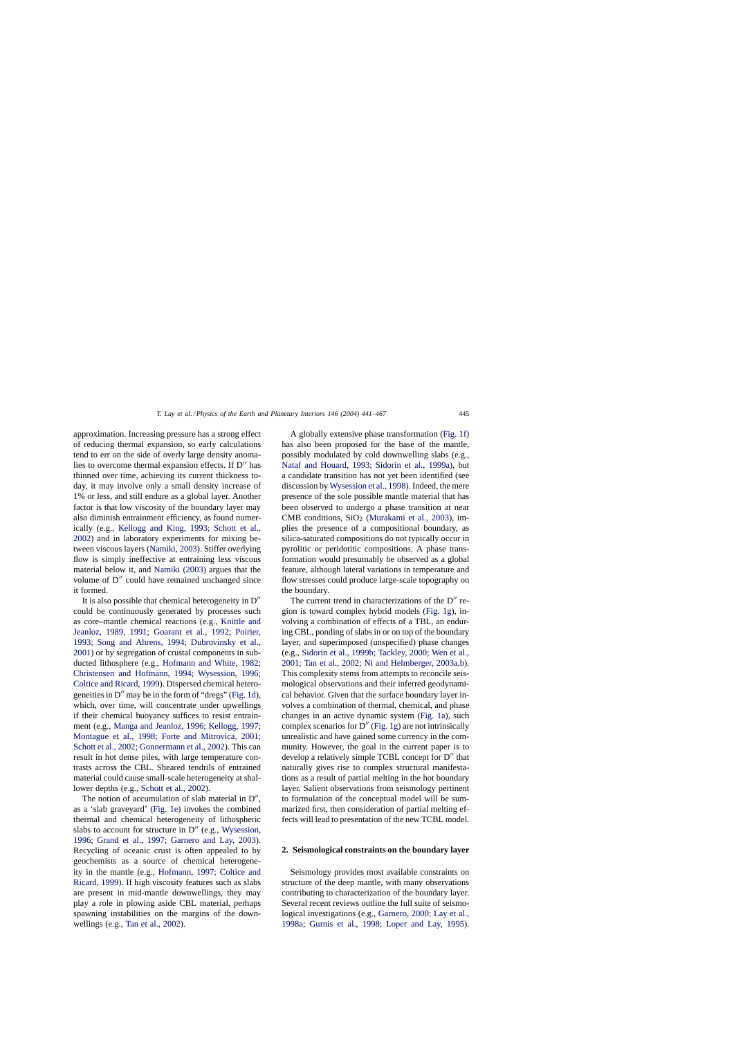approximation. Increasing pressure has a strong effect of reducing thermal expansion, so early calculations tend to err on the side of overly large density anomalies to overcome thermal expansion effects. If  $D''$  has thinned over time, achieving its current thickness today, it may involve only a small density increase of 1% or less, and still endure as a global layer. Another factor is that low viscosity of the boundary layer may also diminish entrainment efficiency, as found numerically (e.g., [Kellogg and King, 1993; Schott et al.](#page-23-0), [2002\)](#page-23-0) and in laboratory experiments for mixing between viscous layers ([Namiki, 2003\).](#page-24-0) Stiffer overlying flow is simply ineffective at entraining less viscous material below it, and [Namiki \(2003\)](#page-24-0) argues that the volume of  $D''$  could have remained unchanged since it formed.

It is also possible that chemical heterogeneity in  $D''$ could be continuously generated by processes such as core–mantle chemical reactions (e.g., [Knittle and](#page-23-0) [Jeanloz, 1989, 1991; Goarant et al., 1992; Poirier,](#page-23-0) [1993; Song and Ahrens, 1994; Dubrovinsky et al.,](#page-23-0) [2001\)](#page-23-0) or by segregation of crustal components in subducted lithosphere (e.g., [Hofmann and White, 1982;](#page-23-0) [Christensen and Hofmann, 1994; Wysession, 1996;](#page-23-0) [Coltice and Ricard, 1999\).](#page-23-0) Dispersed chemical heterogeneities in  $D''$  may be in the form of "dregs" [\(Fig. 1d\),](#page-2-0) which, over time, will concentrate under upwellings if their chemical buoyancy suffices to resist entrainment (e.g., [Manga and Jeanloz, 1996; Kellogg, 1997;](#page-24-0) [Montague et al., 1998; Forte and Mitrovica, 2001;](#page-24-0) [Schott et al., 2002; Gonnermann et al., 2002\). T](#page-24-0)his can result in hot dense piles, with large temperature contrasts across the CBL. Sheared tendrils of entrained material could cause small-scale heterogeneity at shallower depths (e.g., [Schott et al., 2002\).](#page-25-0)

The notion of accumulation of slab material in  $D''$ , as a 'slab graveyard' ([Fig. 1e\)](#page-2-0) invokes the combined thermal and chemical heterogeneity of lithospheric slabs to account for structure in  $D''$  (e.g., [Wysession,](#page-26-0) [1996; Grand et al., 1997; Garnero and Lay, 200](#page-26-0)3). Recycling of oceanic crust is often appealed to by geochemists as a source of chemical heterogeneity in the mantle (e.g., [Hofmann, 1997; Coltice and](#page-23-0) [Ricard, 1999\).](#page-23-0) If high viscosity features such as slabs are present in mid-mantle downwellings, they may play a role in plowing aside CBL material, perhaps spawning instabilities on the margins of the downwellings (e.g., [Tan et al., 2002\).](#page-26-0)

A globally extensive phase transformation ([Fig. 1f\)](#page-2-0) has also been proposed for the base of the mantle, possibly modulated by cold downwelling slabs (e.g., [Nataf and Houard, 1993; Sidorin et al., 1999a](#page-24-0)), but a candidate transition has not yet been identified (see discussion by [Wysession et al., 1998\). I](#page-26-0)ndeed, the mere presence of the sole possible mantle material that has been observed to undergo a phase transition at near CMB conditions,  $SiO<sub>2</sub>$  ([Murakami et al., 2003\)](#page-24-0), implies the presence of a compositional boundary, as silica-saturated compositions do not typically occur in pyrolitic or peridotitic compositions. A phase transformation would presumably be observed as a global feature, although lateral variations in temperature and flow stresses could produce large-scale topography on the boundary.

The current trend in characterizations of the  $D''$  region is toward complex hybrid models ([Fig. 1g\),](#page-2-0) involving a combination of effects of a TBL, an enduring CBL, ponding of slabs in or on top of the boundary layer, and superimposed (unspecified) phase changes (e.g., [Sidorin et al., 1999b; Tackley, 2000; Wen et al.,](#page-25-0) [2001; Tan et al., 2002;](#page-25-0) [Ni and Helmberger, 2003a,b\).](#page-24-0) This complexity stems from attempts to reconcile seismological observations and their inferred geodynamical behavior. Given that the surface boundary layer involves a combination of thermal, chemical, and phase changes in an active dynamic system [\(Fig. 1a\),](#page-2-0) such complex scenarios for  $D''$  [\(Fig. 1g\) a](#page-2-0)re not intrinsically unrealistic and have gained some currency in the community. However, the goal in the current paper is to develop a relatively simple TCBL concept for  $D''$  that naturally gives rise to complex structural manifestations as a result of partial melting in the hot boundary layer. Salient observations from seismology pertinent to formulation of the conceptual model will be summarized first, then consideration of partial melting effects will lead to presentation of the new TCBL model.

#### **2. Seismological constraints on the boundary layer**

Seismology provides most available constraints on structure of the deep mantle, with many observations contributing to characterization of the boundary layer. Several recent reviews outline the full suite of seismological investigations (e.g., [Garnero, 2000; Lay et al.,](#page-22-0) [1998a; Gurnis et al., 1998; Loper and Lay, 199](#page-22-0)5).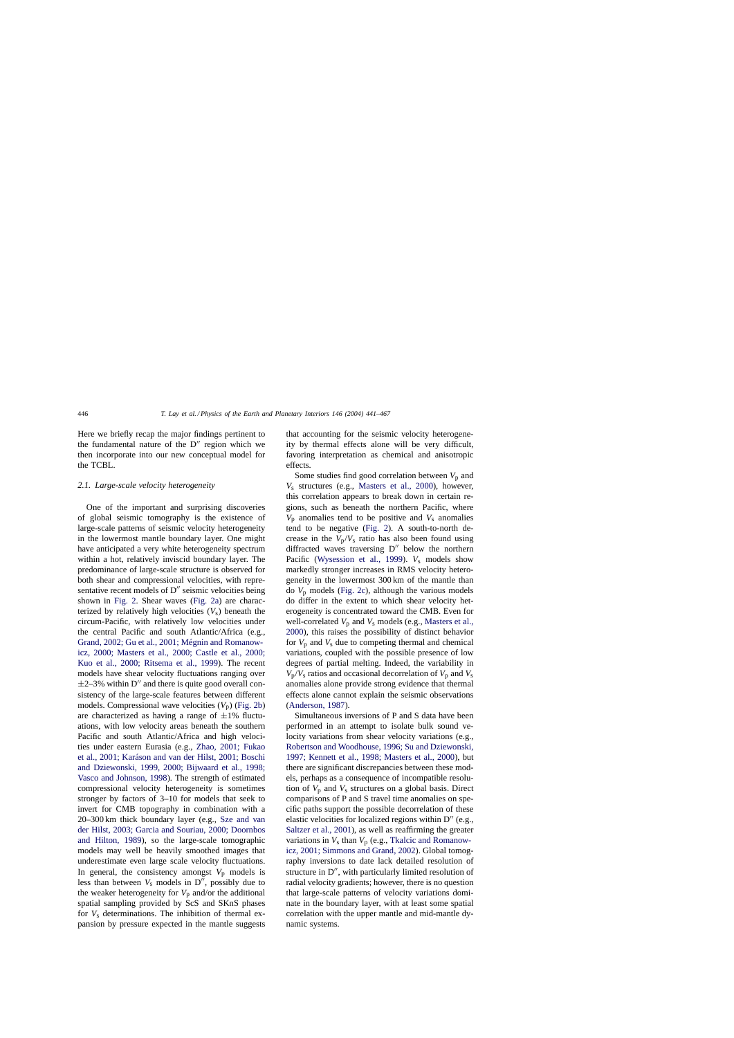Here we briefly recap the major findings pertinent to the fundamental nature of the  $D''$  region which we then incorporate into our new conceptual model for the TCBL.

#### *2.1. Large-scale velocity heterogeneity*

One of the important and surprising discoveries of global seismic tomography is the existence of large-scale patterns of seismic velocity heterogeneity in the lowermost mantle boundary layer. One might have anticipated a very white heterogeneity spectrum within a hot, relatively inviscid boundary layer. The predominance of large-scale structure is observed for both shear and compressional velocities, with representative recent models of  $D''$  seismic velocities being shown in [Fig. 2.](#page-6-0) Shear waves ([Fig. 2a\)](#page-6-0) are characterized by relatively high velocities  $(V<sub>s</sub>)$  beneath the circum-Pacific, with relatively low velocities under the central Pacific and south Atlantic/Africa (e.g., [Grand, 2002; Gu et al., 2001; Mégnin and Romanow](#page-23-0)[icz, 2000; Masters et al., 2000; Castle et al., 2000;](#page-23-0) [Kuo et al., 2000; Ritsema et al., 1999](#page-23-0)). The recent models have shear velocity fluctuations ranging over  $\pm$ 2–3% within D'' and there is quite good overall consistency of the large-scale features between different models. Compressional wave velocities  $(V_p)$  ([Fig. 2b\)](#page-6-0) are characterized as having a range of  $\pm 1\%$  fluctuations, with low velocity areas beneath the southern Pacific and south Atlantic/Africa and high velocities under eastern Eurasia (e.g., [Zhao, 2001; Fukao](#page-26-0) [et al., 2001; Karáson and van der Hilst, 2001; Boschi](#page-26-0) [and Dziewonski, 1999, 2000; Bijwaard et al., 1998;](#page-26-0) [Vasco and Johnson, 1998\).](#page-26-0) The strength of estimated compressional velocity heterogeneity is sometimes stronger by factors of 3–10 for models that seek to invert for CMB topography in combination with a 20–300 km thick boundary layer (e.g., [Sze and van](#page-25-0) [der Hilst, 2003; Garcia and Souriau, 2000; Doornbos](#page-25-0) [and Hilton, 1989](#page-25-0)), so the large-scale tomographic models may well be heavily smoothed images that underestimate even large scale velocity fluctuations. In general, the consistency amongst  $V_p$  models is less than between  $V_s$  models in  $D''$ , possibly due to the weaker heterogeneity for  $V_p$  and/or the additional spatial sampling provided by ScS and SKnS phases for *V*<sup>s</sup> determinations. The inhibition of thermal expansion by pressure expected in the mantle suggests that accounting for the seismic velocity heterogeneity by thermal effects alone will be very difficult, favoring interpretation as chemical and anisotropic effects.

Some studies find good correlation between  $V_p$  and *V*<sup>s</sup> structures (e.g., [Masters et al., 2000](#page-24-0)), however, this correlation appears to break down in certain regions, such as beneath the northern Pacific, where  $V_p$  anomalies tend to be positive and  $V_s$  anomalies tend to be negative ([Fig. 2\)](#page-6-0). A south-to-north decrease in the  $V_p/V_s$  ratio has also been found using diffracted waves traversing  $D''$  below the northern Pacific [\(Wysession et al., 1999](#page-26-0)). *V<sub>s</sub>* models show markedly stronger increases in RMS velocity heterogeneity in the lowermost 300 km of the mantle than do  $V_p$  models ([Fig. 2c\),](#page-6-0) although the various models do differ in the extent to which shear velocity heterogeneity is concentrated toward the CMB. Even for well-correlated *V*<sup>p</sup> and *V*<sup>s</sup> models (e.g., [Masters et al.,](#page-24-0) [2000\),](#page-24-0) this raises the possibility of distinct behavior for  $V_p$  and  $V_s$  due to competing thermal and chemical variations, coupled with the possible presence of low degrees of partial melting. Indeed, the variability in  $V_p/V_s$  ratios and occasional decorrelation of  $V_p$  and  $V_s$ anomalies alone provide strong evidence that thermal effects alone cannot explain the seismic observations ([Anderson, 1987\).](#page-21-0)

Simultaneous inversions of P and S data have been performed in an attempt to isolate bulk sound velocity variations from shear velocity variations (e.g., [Robertson and Woodhouse, 1996; Su and Dziewonski,](#page-25-0) [1997; Kennett et al., 1998; Masters et al., 2000\)](#page-25-0), but there are significant discrepancies between these models, perhaps as a consequence of incompatible resolution of  $V_p$  and  $V_s$  structures on a global basis. Direct comparisons of P and S travel time anomalies on specific paths support the possible decorrelation of these elastic velocities for localized regions within  $D''$  (e.g., [Saltzer et al., 2001\),](#page-25-0) as well as reaffirming the greater variations in  $V_s$  than  $V_p$  (e.g., [Tkalcic and Romanow](#page-26-0)[icz, 2001; Simmons and Grand, 2002\).](#page-26-0) Global tomography inversions to date lack detailed resolution of structure in  $D''$ , with particularly limited resolution of radial velocity gradients; however, there is no question that large-scale patterns of velocity variations dominate in the boundary layer, with at least some spatial correlation with the upper mantle and mid-mantle dynamic systems.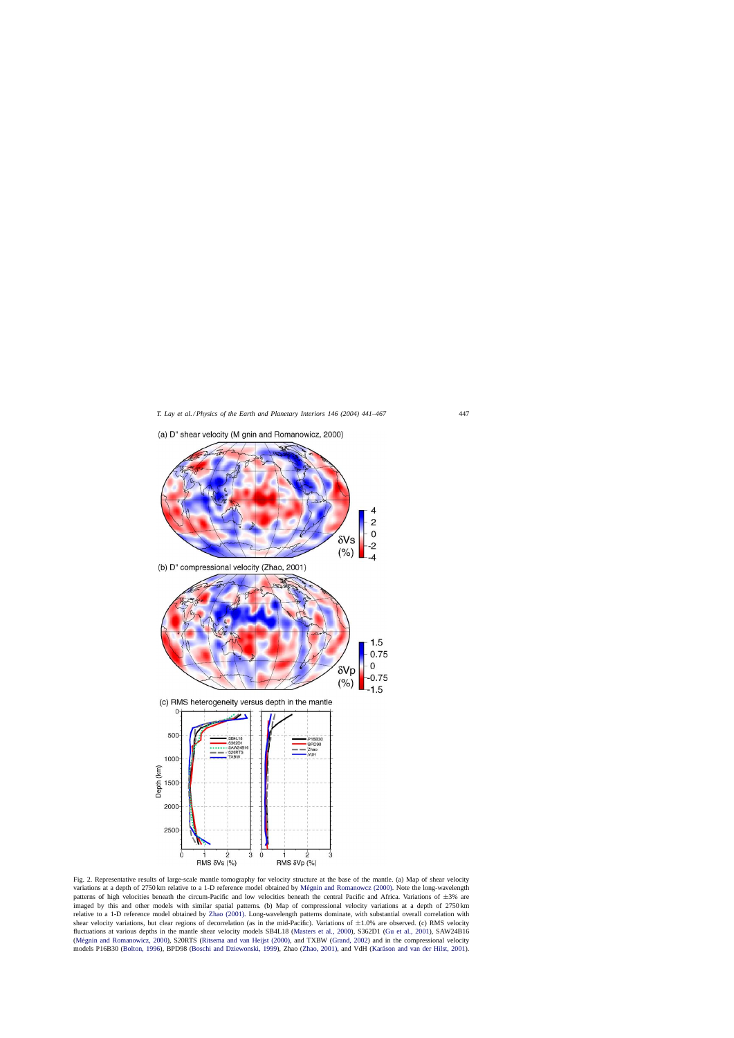<span id="page-6-0"></span>

(a) D" shear velocity (M gnin and Romanowicz, 2000)

Fig. 2. Representative results of large-scale mantle tomography for velocity structure at the base of the mantle. (a) Map of shear velocity variations at a depth of 2750 km relative to a 1-D reference model obtained by Mégnin and Romanowcz (2000). Note the long-wavelength patterns of high velocities beneath the circum-Pacific and low velocities beneath the central Pacific and Africa. Variations of  $\pm 3$ % are imaged by this and other models with similar spatial patterns. (b) Map of compressional velocity variations at a depth of 2750 km relative to a 1-D reference model obtained by [Zhao \(2001\).](#page-26-0) Long-wavelength patterns dominate, with substantial overall correlation with shear velocity variations, but clear regions of decorrelation (as in the mid-Pacific). Variations of  $\pm 1.0\%$  are observed. (c) RMS velocity fluctuations at various depths in the mantle shear velocity models SB4L18 [\(Masters et al., 2000\),](#page-24-0) S362D1 [\(Gu et al., 2001\),](#page-23-0) SAW24B16 (Mégnin and Romanowicz, 2000), S20RTS ([Ritsema and van Heijst \(2000\), a](#page-25-0)nd TXBW [\(Grand, 2002\)](#page-23-0) and in the compressional velocity models P16B30 [\(Bolton, 1996\),](#page-21-0) BPD98 [\(Boschi and Dziewonski, 1999\),](#page-21-0) Zhao [\(Zhao, 2001\), a](#page-26-0)nd VdH (Karáson and van der Hilst, 2001).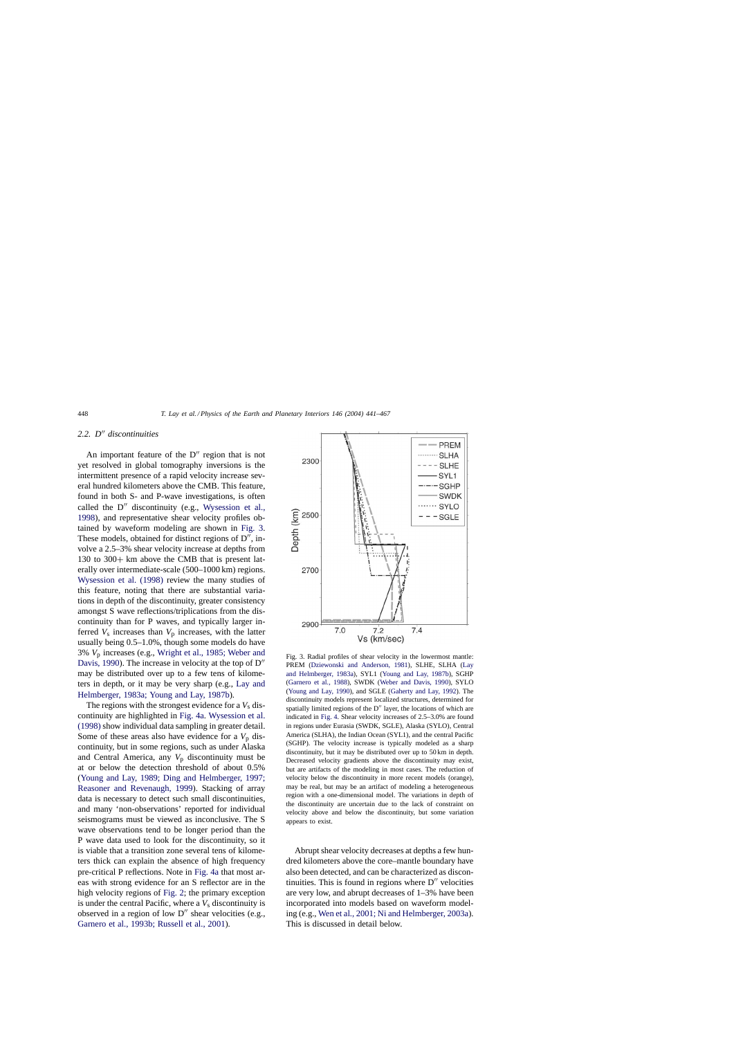## <span id="page-7-0"></span>*2.2. D*-- *discontinuities*

An important feature of the  $D''$  region that is not yet resolved in global tomography inversions is the intermittent presence of a rapid velocity increase several hundred kilometers above the CMB. This feature, found in both S- and P-wave investigations, is often called the  $D''$  discontinuity (e.g., [Wysession et al.,](#page-26-0) [1998\),](#page-26-0) and representative shear velocity profiles obtained by waveform modeling are shown in Fig. 3. These models, obtained for distinct regions of  $D''$ , involve a 2.5–3% shear velocity increase at depths from 130 to 300+ km above the CMB that is present laterally over intermediate-scale (500–1000 km) regions. [Wysession et al. \(1998\)](#page-26-0) review the many studies of this feature, noting that there are substantial variations in depth of the discontinuity, greater consistency amongst S wave reflections/triplications from the discontinuity than for P waves, and typically larger inferred  $V_s$  increases than  $V_p$  increases, with the latter usually being 0.5–1.0%, though some models do have 3% *V*<sup>p</sup> increases (e.g., [Wright et al., 1985; Weber and](#page-26-0) [Davis, 1990\).](#page-26-0) The increase in velocity at the top of  $D''$ may be distributed over up to a few tens of kilometers in depth, or it may be very sharp (e.g., [Lay and](#page-24-0) [Helmberger, 1983a; Young and Lay, 1987b\).](#page-24-0)

The regions with the strongest evidence for a  $V<sub>s</sub>$  discontinuity are highlighted in [Fig. 4a.](#page-8-0) [Wysession et al.](#page-26-0) [\(1998\)](#page-26-0) show individual data sampling in greater detail. Some of these areas also have evidence for a  $V_p$  discontinuity, but in some regions, such as under Alaska and Central America, any  $V_p$  discontinuity must be at or below the detection threshold of about 0.5% ([Young and Lay, 1989; Ding and Helmberger, 1997;](#page-26-0) [Reasoner and Revenaugh, 1999](#page-26-0)). Stacking of array data is necessary to detect such small discontinuities, and many 'non-observations' reported for individual seismograms must be viewed as inconclusive. The S wave observations tend to be longer period than the P wave data used to look for the discontinuity, so it is viable that a transition zone several tens of kilometers thick can explain the absence of high frequency pre-critical P reflections. Note in [Fig. 4a](#page-8-0) that most areas with strong evidence for an S reflector are in the high velocity regions of [Fig. 2;](#page-6-0) the primary exception is under the central Pacific, where a  $V_s$  discontinuity is observed in a region of low  $D''$  shear velocities (e.g., [Garnero et al., 1993b; Russell et al., 2001\).](#page-22-0)



Fig. 3. Radial profiles of shear velocity in the lowermost mantle: PREM [\(Dziewonski and Anderson, 1981\)](#page-22-0), SLHE, SLHA [\(Lay](#page-24-0) [and Helmberger, 1983a\),](#page-24-0) SYL1 ([Young and Lay, 1987b\),](#page-26-0) SGHP [\(Garnero et al., 1988\),](#page-22-0) SWDK [\(Weber and Davis, 1990\),](#page-26-0) SYLO [\(Young and Lay, 1990\),](#page-26-0) and SGLE [\(Gaherty and Lay, 1992\).](#page-22-0) The discontinuity models represent localized structures, determined for spatially limited regions of the  $D''$  layer, the locations of which are indicated in [Fig. 4. S](#page-8-0)hear velocity increases of 2.5–3.0% are found in regions under Eurasia (SWDK, SGLE), Alaska (SYLO), Central America (SLHA), the Indian Ocean (SYL1), and the central Pacific (SGHP). The velocity increase is typically modeled as a sharp discontinuity, but it may be distributed over up to 50 km in depth. Decreased velocity gradients above the discontinuity may exist, but are artifacts of the modeling in most cases. The reduction of velocity below the discontinuity in more recent models (orange), may be real, but may be an artifact of modeling a heterogeneous region with a one-dimensional model. The variations in depth of the discontinuity are uncertain due to the lack of constraint on velocity above and below the discontinuity, but some variation appears to exist.

Abrupt shear velocity decreases at depths a few hundred kilometers above the core–mantle boundary have also been detected, and can be characterized as discontinuities. This is found in regions where  $D''$  velocities are very low, and abrupt decreases of 1–3% have been incorporated into models based on waveform modeling (e.g., [Wen et al., 2001; Ni and Helmberger, 2003a\).](#page-26-0) This is discussed in detail below.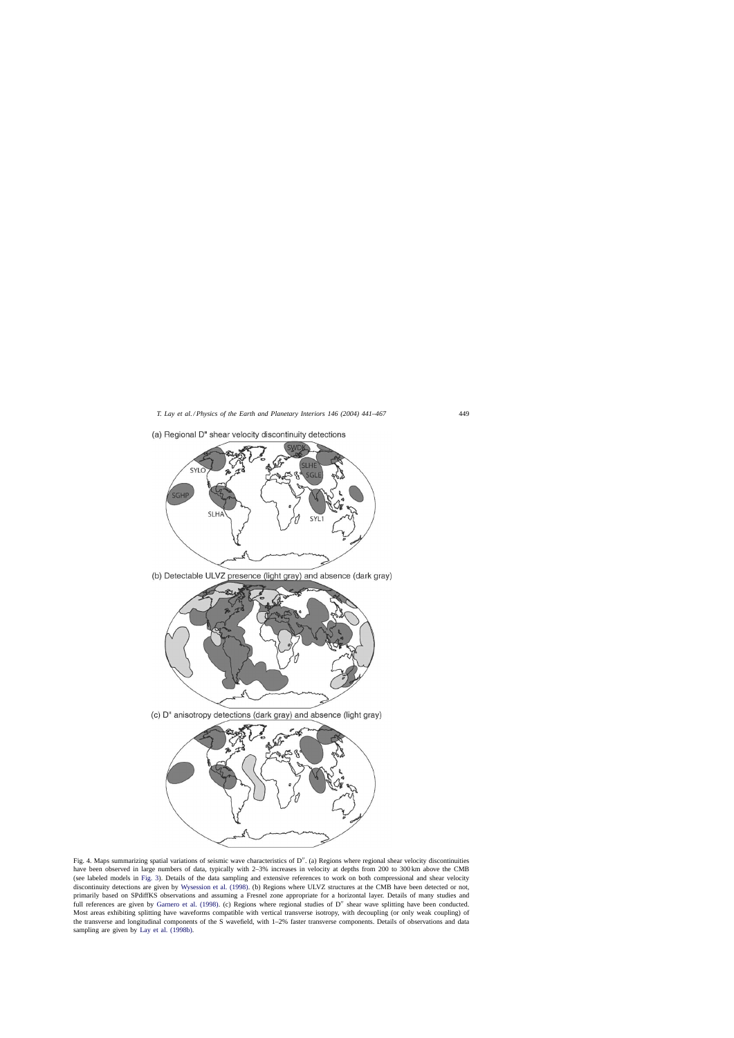<span id="page-8-0"></span>

(a) Regional D" shear velocity discontinuity detections

Fig. 4. Maps summarizing spatial variations of seismic wave characteristics of D". (a) Regions where regional shear velocity discontinuities have been observed in large numbers of data, typically with 2–3% increases in velocity at depths from 200 to 300 km above the CMB (see labeled models in [Fig. 3\).](#page-7-0) Details of the data sampling and extensive references to work on both compressional and shear velocity discontinuity detections are given by [Wysession et al. \(1998\). \(](#page-26-0)b) Regions where ULVZ structures at the CMB have been detected or not, primarily based on SPdiffKS observations and assuming a Fresnel zone appropriate for a horizontal layer. Details of many studies and full references are given by [Garnero et al. \(1998\).](#page-22-0) (c) Regions where regional studies of D" shear wave splitting have been conducted. Most areas exhibiting splitting have waveforms compatible with vertical transverse isotropy, with decoupling (or only weak coupling) of the transverse and longitudinal components of the S wavefield, with 1–2% faster transverse components. Details of observations and data sampling are given by [Lay et al. \(1998b\).](#page-24-0)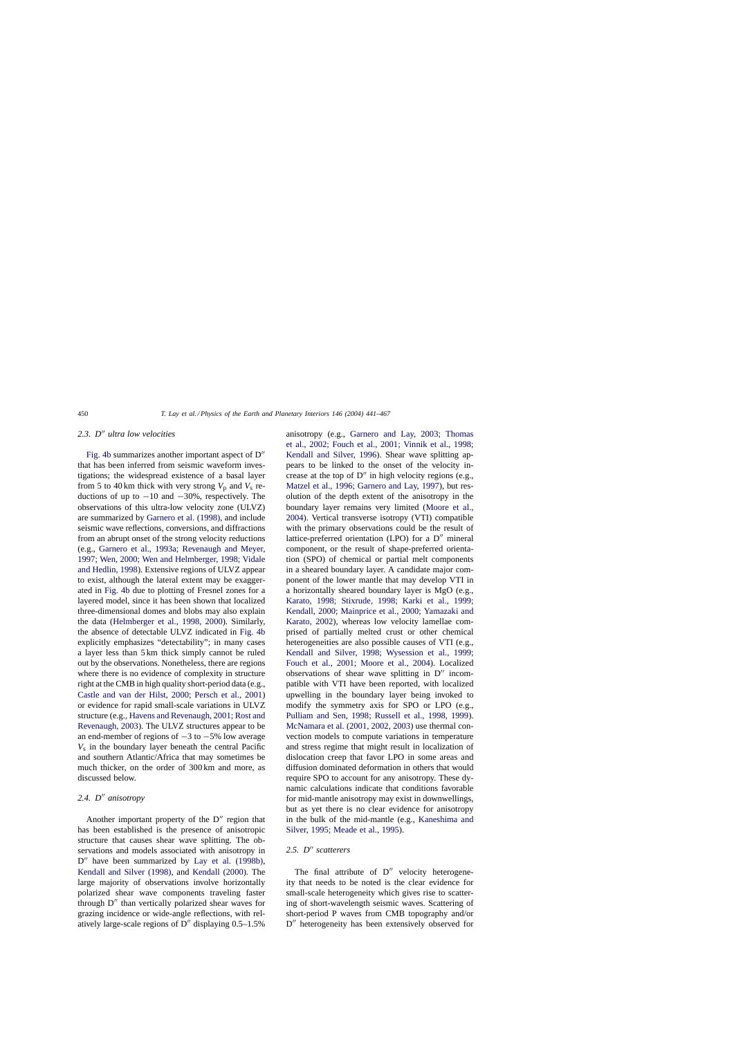## 2.3. D<sup>"</sup> ultra low velocities

[Fig. 4b](#page-8-0) summarizes another important aspect of  $D''$ that has been inferred from seismic waveform investigations; the widespread existence of a basal layer from 5 to 40 km thick with very strong  $V_p$  and  $V_s$  reductions of up to  $-10$  and  $-30%$ , respectively. The observations of this ultra-low velocity zone (ULVZ) are summarized by [Garnero et al. \(1998\), a](#page-22-0)nd include seismic wave reflections, conversions, and diffractions from an abrupt onset of the strong velocity reductions (e.g., [Garnero et al., 1993a; Revenaugh and Meyer,](#page-22-0) [1997; Wen, 2000; Wen and Helmberger, 1998; Vidale](#page-22-0) [and Hedlin, 1998\).](#page-22-0) Extensive regions of ULVZ appear to exist, although the lateral extent may be exaggerated in [Fig. 4b](#page-8-0) due to plotting of Fresnel zones for a layered model, since it has been shown that localized three-dimensional domes and blobs may also explain the data ([Helmberger et al., 1998, 2000\)](#page-23-0). Similarly, the absence of detectable ULVZ indicated in [Fig. 4b](#page-8-0) explicitly emphasizes "detectability"; in many cases a layer less than 5 km thick simply cannot be ruled out by the observations. Nonetheless, there are regions where there is no evidence of complexity in structure right at the CMB in high quality short-period data (e.g., [Castle and van der Hilst, 2000; Persch et al., 2001](#page-22-0)) or evidence for rapid small-scale variations in ULVZ structure (e.g., [Havens and Revenaugh, 2001; Rost and](#page-23-0) [Revenaugh, 2003\).](#page-23-0) The ULVZ structures appear to be an end-member of regions of −3 to −5% low average *V*<sup>s</sup> in the boundary layer beneath the central Pacific and southern Atlantic/Africa that may sometimes be much thicker, on the order of 300 km and more, as discussed below.

## 2.4. D<sup>"</sup> anisotropy

Another important property of the  $D''$  region that has been established is the presence of anisotropic structure that causes shear wave splitting. The observations and models associated with anisotropy in D" have been summarized by [Lay et al. \(1998b\)](#page-24-0), [Kendall and Silver \(1998\),](#page-23-0) and [Kendall \(2000\).](#page-23-0) The large majority of observations involve horizontally polarized shear wave components traveling faster through D" than vertically polarized shear waves for grazing incidence or wide-angle reflections, with relatively large-scale regions of  $D''$  displaying  $0.5-1.5\%$ 

anisotropy (e.g., [Garnero and Lay, 2003; Thoma](#page-22-0)s [et al., 2002; Fouch et al., 2001; Vinnik et al., 1998;](#page-22-0) [Kendall and Silver, 1996\)](#page-22-0). Shear wave splitting appears to be linked to the onset of the velocity increase at the top of  $D''$  in high velocity regions (e.g., [Matzel et al., 1996; Garnero and Lay, 1997\),](#page-24-0) but resolution of the depth extent of the anisotropy in the boundary layer remains very limited ([Moore et al.,](#page-24-0) [2004\).](#page-24-0) Vertical transverse isotropy (VTI) compatible with the primary observations could be the result of lattice-preferred orientation (LPO) for a D" mineral component, or the result of shape-preferred orientation (SPO) of chemical or partial melt components in a sheared boundary layer. A candidate major component of the lower mantle that may develop VTI in a horizontally sheared boundary layer is MgO (e.g., [Karato, 1998; Stixrude, 1998; Karki et al., 19](#page-23-0)99; [Kendall, 2000; Mainprice et al., 2000; Yamazaki and](#page-23-0) [Karato, 2002\),](#page-23-0) whereas low velocity lamellae comprised of partially melted crust or other chemical heterogeneities are also possible causes of VTI (e.g., [Kendall and Silver, 1998; Wysession et al., 199](#page-23-0)9; [Fouch et al., 2001; Moore et al., 200](#page-23-0)4). Localized observations of shear wave splitting in  $D''$  incompatible with VTI have been reported, with localized upwelling in the boundary layer being invoked to modify the symmetry axis for SPO or LPO (e.g., [Pulliam and Sen, 1998; Russell et al., 1998, 1999](#page-25-0)). [McNamara et al. \(2001, 2002, 2003\) u](#page-24-0)se thermal convection models to compute variations in temperature and stress regime that might result in localization of dislocation creep that favor LPO in some areas and diffusion dominated deformation in others that would require SPO to account for any anisotropy. These dynamic calculations indicate that conditions favorable for mid-mantle anisotropy may exist in downwellings, but as yet there is no clear evidence for anisotropy in the bulk of the mid-mantle (e.g., [Kaneshima and](#page-23-0) [Silver, 1995; Meade et al., 1995\).](#page-23-0)

## 2.5. D<sup>"</sup> scatterers

The final attribute of  $D''$  velocity heterogeneity that needs to be noted is the clear evidence for small-scale heterogeneity which gives rise to scattering of short-wavelength seismic waves. Scattering of short-period P waves from CMB topography and/or D<sup>"</sup> heterogeneity has been extensively observed for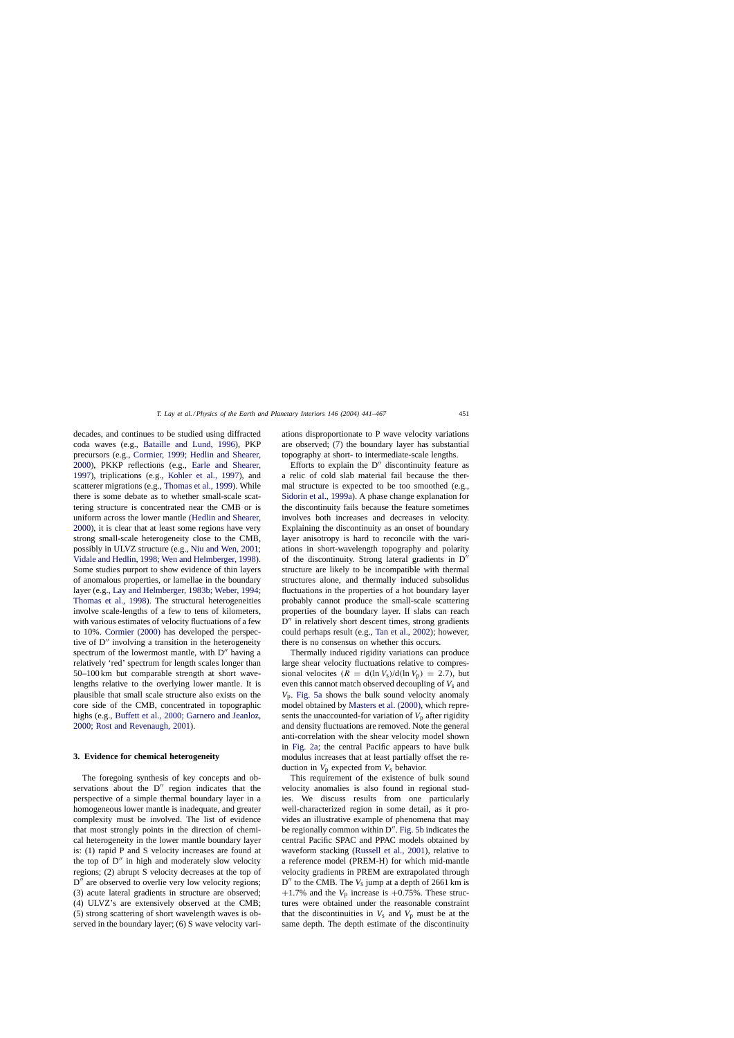decades, and continues to be studied using diffracted coda waves (e.g., [Bataille and Lund, 1996](#page-21-0)), PKP precursors (e.g., [Cormier, 1999; Hedlin and Shearer,](#page-22-0) [2000\),](#page-22-0) PKKP reflections (e.g., [Earle and Shearer,](#page-22-0) 1997), triplications (e.g., [Kohler et al., 1997](#page-23-0)), and scatterer migrations (e.g., [Thomas et al., 1999\).](#page-26-0) While there is some debate as to whether small-scale scattering structure is concentrated near the CMB or is uniform across the lower mantle [\(Hedlin and Shearer,](#page-23-0) [2000\),](#page-23-0) it is clear that at least some regions have very strong small-scale heterogeneity close to the CMB, possibly in ULVZ structure (e.g., [Niu and Wen, 2001;](#page-24-0) [Vidale and Hedlin, 1998; Wen and Helmberger, 1998\).](#page-24-0) Some studies purport to show evidence of thin layers of anomalous properties, or lamellae in the boundary layer (e.g., [Lay and Helmberger, 1983b; Weber, 1994;](#page-24-0) [Thomas et al., 1998\)](#page-24-0). The structural heterogeneities involve scale-lengths of a few to tens of kilometers, with various estimates of velocity fluctuations of a few to 10%. [Cormier \(2000\)](#page-22-0) has developed the perspective of  $D''$  involving a transition in the heterogeneity spectrum of the lowermost mantle, with  $D''$  having a relatively 'red' spectrum for length scales longer than 50–100 km but comparable strength at short wavelengths relative to the overlying lower mantle. It is plausible that small scale structure also exists on the core side of the CMB, concentrated in topographic highs (e.g., [Buffett et al., 2000; Garnero and Jeanloz,](#page-22-0) [2000; Rost and Revenaugh, 2001\).](#page-22-0)

#### **3. Evidence for chemical heterogeneity**

The foregoing synthesis of key concepts and observations about the  $D''$  region indicates that the perspective of a simple thermal boundary layer in a homogeneous lower mantle is inadequate, and greater complexity must be involved. The list of evidence that most strongly points in the direction of chemical heterogeneity in the lower mantle boundary layer is: (1) rapid P and S velocity increases are found at the top of  $D''$  in high and moderately slow velocity regions; (2) abrupt S velocity decreases at the top of D" are observed to overlie very low velocity regions; (3) acute lateral gradients in structure are observed; (4) ULVZ's are extensively observed at the CMB; (5) strong scattering of short wavelength waves is observed in the boundary layer; (6) S wave velocity variations disproportionate to P wave velocity variations are observed; (7) the boundary layer has substantial topography at short- to intermediate-scale lengths.

Efforts to explain the  $D''$  discontinuity feature as a relic of cold slab material fail because the thermal structure is expected to be too smoothed (e.g., [Sidorin et al., 1999a\).](#page-25-0) A phase change explanation for the discontinuity fails because the feature sometimes involves both increases and decreases in velocity. Explaining the discontinuity as an onset of boundary layer anisotropy is hard to reconcile with the variations in short-wavelength topography and polarity of the discontinuity. Strong lateral gradients in  $D''$ structure are likely to be incompatible with thermal structures alone, and thermally induced subsolidus fluctuations in the properties of a hot boundary layer probably cannot produce the small-scale scattering properties of the boundary layer. If slabs can reach D" in relatively short descent times, strong gradients could perhaps result (e.g., [Tan et al., 2002\);](#page-26-0) however, there is no consensus on whether this occurs.

Thermally induced rigidity variations can produce large shear velocity fluctuations relative to compressional velocites  $(R = d(\ln V_s)/d(\ln V_p) = 2.7)$ , but even this cannot match observed decoupling of  $V_s$  and *V*p. [Fig. 5a](#page-11-0) shows the bulk sound velocity anomaly model obtained by [Masters et al. \(2000\), w](#page-24-0)hich represents the unaccounted-for variation of  $V_p$  after rigidity and density fluctuations are removed. Note the general anti-correlation with the shear velocity model shown in [Fig. 2a;](#page-6-0) the central Pacific appears to have bulk modulus increases that at least partially offset the reduction in  $V_p$  expected from  $V_s$  behavior.

This requirement of the existence of bulk sound velocity anomalies is also found in regional studies. We discuss results from one particularly well-characterized region in some detail, as it provides an illustrative example of phenomena that may be regionally common within  $D''$ . [Fig. 5b](#page-11-0) indicates the central Pacific SPAC and PPAC models obtained by waveform stacking ([Russell et al., 2001\)](#page-25-0), relative to a reference model (PREM-H) for which mid-mantle velocity gradients in PREM are extrapolated through  $D''$  to the CMB. The  $V_s$  jump at a depth of 2661 km is  $+1.7\%$  and the  $V_p$  increase is  $+0.75\%$ . These structures were obtained under the reasonable constraint that the discontinuities in  $V_s$  and  $V_p$  must be at the same depth. The depth estimate of the discontinuity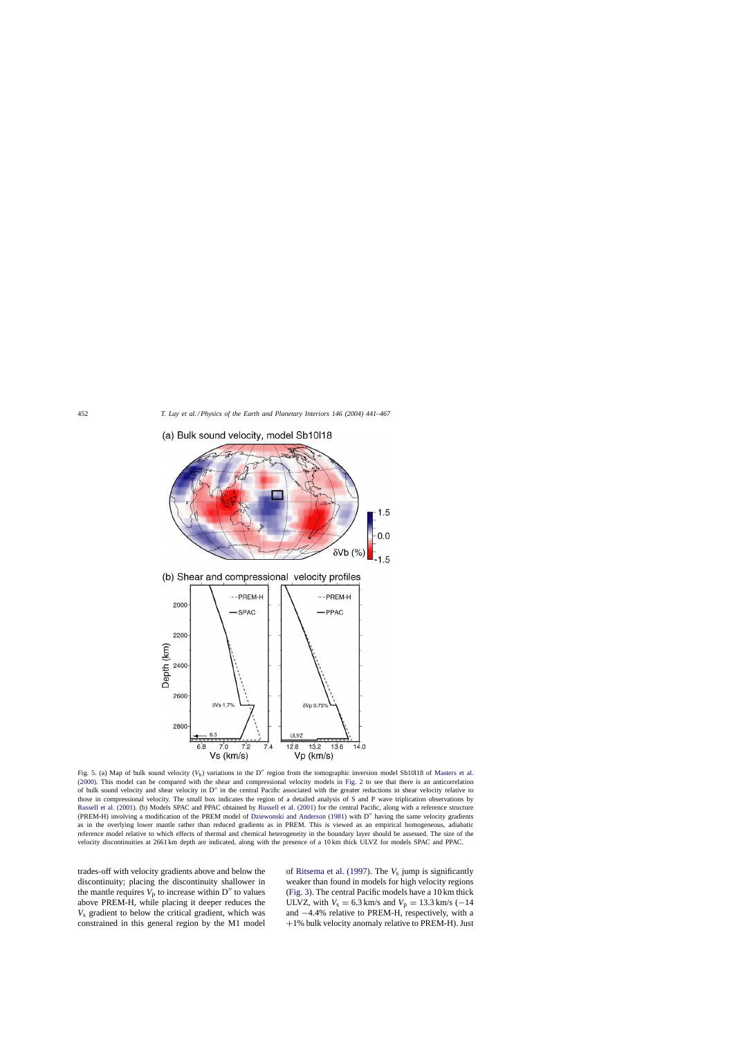

<span id="page-11-0"></span>(a) Bulk sound velocity, model Sb10l18

Fig. 5. (a) Map of bulk sound velocity (V<sub>b</sub>) variations in the D'' region from the tomographic inversion model Sb10l18 of [Masters et al.](#page-24-0) [\(2000\).](#page-24-0) This model can be compared with the shear and compressional velocity models in [Fig. 2](#page-6-0) to see that there is an anticorrelation of bulk sound velocity and shear velocity in  $D''$  in the central Pacific associated with the greater reductions in shear velocity relative to those in compressional velocity. The small box indicates the region of a detailed analysis of S and P wave triplication observations by [Russell et al. \(2001\). \(](#page-25-0)b) Models SPAC and PPAC obtained by [Russell et al. \(2001\)](#page-25-0) for the central Pacific, along with a reference structure (PREM-H) involving a modification of the PREM model of [Dziewonski and Anderson \(1981\)](#page-22-0) with D'' having the same velocity gradients as in the overlying lower mantle rather than reduced gradients as in PREM. This is viewed as an empirical homogeneous, adiabatic reference model relative to which effects of thermal and chemical heterogeneity in the boundary layer should be assessed. The size of the velocity discontinuities at 2661 km depth are indicated, along with the presence of a 10 km thick ULVZ for models SPAC and PPAC.

trades-off with velocity gradients above and below the discontinuity; placing the discontinuity shallower in the mantle requires  $V_p$  to increase within  $D''$  to values above PREM-H, while placing it deeper reduces the *V*<sup>s</sup> gradient to below the critical gradient, which was constrained in this general region by the M1 model

of [Ritsema et al. \(1997\).](#page-25-0) The *V*<sup>s</sup> jump is significantly weaker than found in models for high velocity regions ([Fig. 3\).](#page-7-0) The central Pacific models have a 10 km thick ULVZ, with  $V_s = 6.3$  km/s and  $V_p = 13.3$  km/s (−14 and −4.4% relative to PREM-H, respectively, with a +1% bulk velocity anomaly relative to PREM-H). Just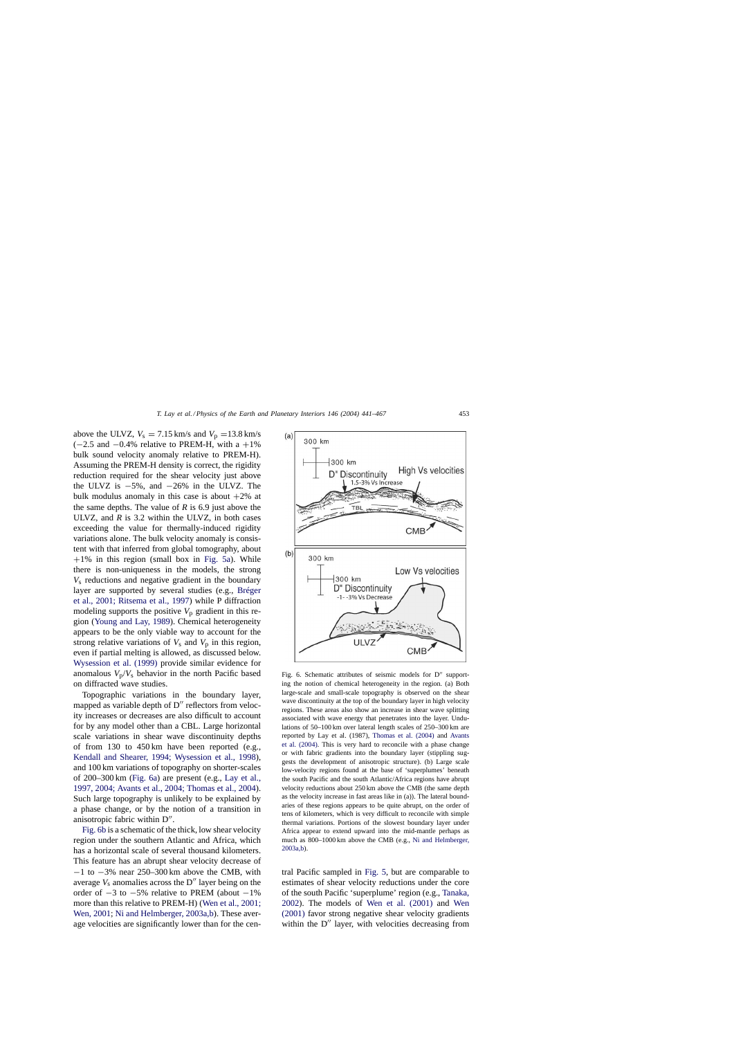<span id="page-12-0"></span>above the ULVZ,  $V_s = 7.15$  km/s and  $V_p = 13.8$  km/s  $(-2.5 \text{ and } -0.4\% \text{ relative to } PREM-H, \text{ with a } +1\%$ bulk sound velocity anomaly relative to PREM-H). Assuming the PREM-H density is correct, the rigidity reduction required for the shear velocity just above the ULVZ is  $-5\%$ , and  $-26\%$  in the ULVZ. The bulk modulus anomaly in this case is about  $+2\%$  at the same depths. The value of  $R$  is 6.9 just above the ULVZ, and  $R$  is 3.2 within the ULVZ, in both cases exceeding the value for thermally-induced rigidity variations alone. The bulk velocity anomaly is consistent with that inferred from global tomography, about  $+1\%$  in this region (small box in [Fig. 5a\).](#page-11-0) While there is non-uniqueness in the models, the strong *V*<sup>s</sup> reductions and negative gradient in the boundary layer are supported by several studies (e.g., [Bréger](#page-21-0) [et al., 2001; Ritsema et al., 1997\)](#page-21-0) while P diffraction modeling supports the positive  $V_p$  gradient in this region [\(Young and Lay, 1989\).](#page-26-0) Chemical heterogeneity appears to be the only viable way to account for the strong relative variations of  $V_s$  and  $V_p$  in this region, even if partial melting is allowed, as discussed below. [Wysession et al. \(1999\)](#page-26-0) provide similar evidence for anomalous  $V_p/V_s$  behavior in the north Pacific based on diffracted wave studies.

Topographic variations in the boundary layer, mapped as variable depth of D" reflectors from velocity increases or decreases are also difficult to account for by any model other than a CBL. Large horizontal scale variations in shear wave discontinuity depths of from 130 to 450 km have been reported (e.g., [Kendall and Shearer, 1994; Wysession et al., 1998](#page-23-0)), and 100 km variations of topography on shorter-scales of 200–300 km (Fig. 6a) are present (e.g., [Lay et al.,](#page-24-0) [1997, 2004; Avants et al., 2004; Thomas et al., 2004\).](#page-24-0) Such large topography is unlikely to be explained by a phase change, or by the notion of a transition in anisotropic fabric within D".

Fig. 6b is a schematic of the thick, low shear velocity region under the southern Atlantic and Africa, which has a horizontal scale of several thousand kilometers. This feature has an abrupt shear velocity decrease of −1 to −3% near 250–300 km above the CMB, with average  $V_s$  anomalies across the  $D''$  layer being on the order of  $-3$  to  $-5\%$  relative to PREM (about  $-1\%$ more than this relative to PREM-H) [\(Wen et al., 2001;](#page-26-0) [Wen, 2001;](#page-26-0) [Ni and Helmberger, 2003a,b\).](#page-24-0) These average velocities are significantly lower than for the cen-



Fig. 6. Schematic attributes of seismic models for  $D''$  supporting the notion of chemical heterogeneity in the region. (a) Both large-scale and small-scale topography is observed on the shear wave discontinuity at the top of the boundary layer in high velocity regions. These areas also show an increase in shear wave splitting associated with wave energy that penetrates into the layer. Undulations of 50–100 km over lateral length scales of 250–300 km are reported by Lay et al. (1987), [Thomas et al. \(2004\)](#page-26-0) and [Avants](#page-21-0) [et al. \(2004\).](#page-21-0) This is very hard to reconcile with a phase change or with fabric gradients into the boundary layer (stippling suggests the development of anisotropic structure). (b) Large scale low-velocity regions found at the base of 'superplumes' beneath the south Pacific and the south Atlantic/Africa regions have abrupt velocity reductions about 250 km above the CMB (the same depth as the velocity increase in fast areas like in (a)). The lateral boundaries of these regions appears to be quite abrupt, on the order of tens of kilometers, which is very difficult to reconcile with simple thermal variations. Portions of the slowest boundary layer under Africa appear to extend upward into the mid-mantle perhaps as much as 800–1000 km above the CMB (e.g., [Ni and Helmberger,](#page-24-0) [2003a,b\).](#page-24-0)

tral Pacific sampled in [Fig. 5,](#page-11-0) but are comparable to estimates of shear velocity reductions under the core of the south Pacific 'superplume' region (e.g., [Tanaka,](#page-26-0) [2002\).](#page-26-0) The models of [Wen et al. \(2001\)](#page-26-0) and [Wen](#page-26-0) [\(2001\)](#page-26-0) favor strong negative shear velocity gradients within the  $D''$  layer, with velocities decreasing from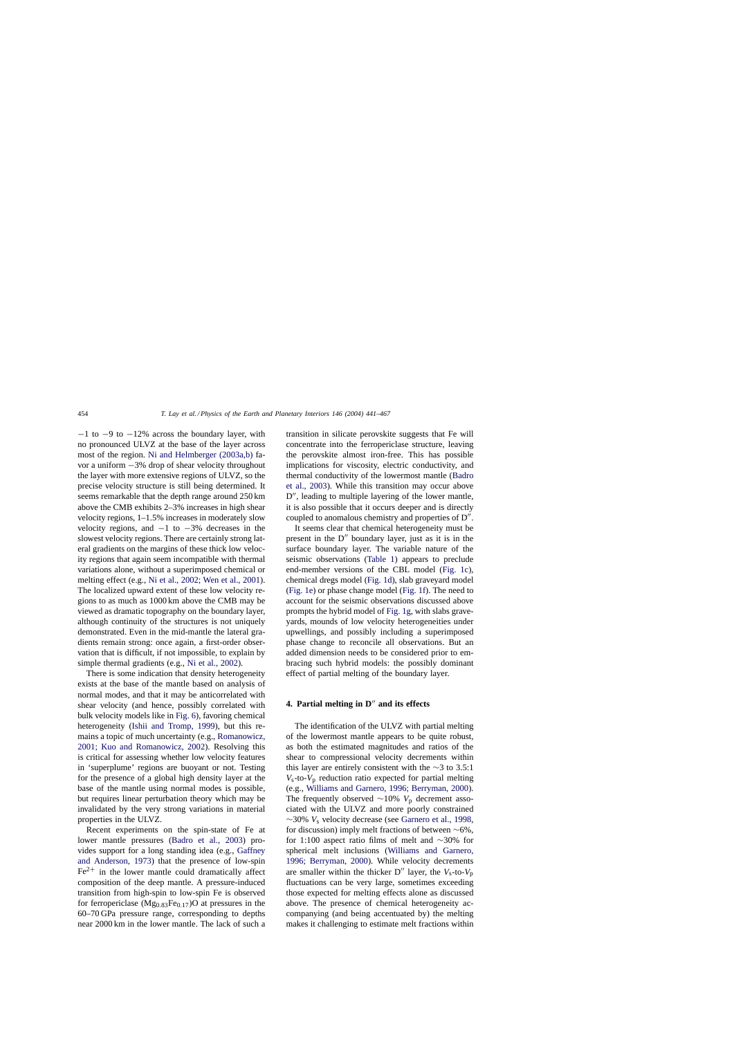$-1$  to  $-9$  to  $-12\%$  across the boundary layer, with no pronounced ULVZ at the base of the layer across most of the region. [Ni and Helmberger \(2003a,b\)](#page-24-0) favor a uniform −3% drop of shear velocity throughout the layer with more extensive regions of ULVZ, so the precise velocity structure is still being determined. It seems remarkable that the depth range around 250 km above the CMB exhibits 2–3% increases in high shear velocity regions, 1–1.5% increases in moderately slow velocity regions, and  $-1$  to  $-3\%$  decreases in the slowest velocity regions. There are certainly strong lateral gradients on the margins of these thick low velocity regions that again seem incompatible with thermal variations alone, without a superimposed chemical or melting effect (e.g., [Ni et al., 2002; Wen et al., 2001\).](#page-24-0) The localized upward extent of these low velocity regions to as much as 1000 km above the CMB may be viewed as dramatic topography on the boundary layer, although continuity of the structures is not uniquely demonstrated. Even in the mid-mantle the lateral gradients remain strong: once again, a first-order observation that is difficult, if not impossible, to explain by simple thermal gradients (e.g., [Ni et al., 2002\).](#page-24-0)

There is some indication that density heterogeneity exists at the base of the mantle based on analysis of normal modes, and that it may be anticorrelated with shear velocity (and hence, possibly correlated with bulk velocity models like in [Fig. 6\),](#page-12-0) favoring chemical heterogeneity [\(Ishii and Tromp, 1999\)](#page-23-0), but this remains a topic of much uncertainty (e.g., [Romanowicz,](#page-25-0) [2001; Kuo and Romanowicz, 2002](#page-25-0)). Resolving this is critical for assessing whether low velocity features in 'superplume' regions are buoyant or not. Testing for the presence of a global high density layer at the base of the mantle using normal modes is possible, but requires linear perturbation theory which may be invalidated by the very strong variations in material properties in the ULVZ.

Recent experiments on the spin-state of Fe at lower mantle pressures [\(Badro et al., 2003](#page-21-0)) provides support for a long standing idea (e.g., [Gaffney](#page-22-0) [and Anderson, 1973\)](#page-22-0) that the presence of low-spin  $Fe<sup>2+</sup>$  in the lower mantle could dramatically affect composition of the deep mantle. A pressure-induced transition from high-spin to low-spin Fe is observed for ferropericlase  $(Mg_{0.83}Fe_{0.17})O$  at pressures in the 60–70 GPa pressure range, corresponding to depths near 2000 km in the lower mantle. The lack of such a transition in silicate perovskite suggests that Fe will concentrate into the ferropericlase structure, leaving the perovskite almost iron-free. This has possible implications for viscosity, electric conductivity, and thermal conductivity of the lowermost mantle [\(Badro](#page-21-0) [et al., 2003\).](#page-21-0) While this transition may occur above D", leading to multiple layering of the lower mantle, it is also possible that it occurs deeper and is directly coupled to anomalous chemistry and properties of  $D''$ .

It seems clear that chemical heterogeneity must be present in the  $D''$  boundary layer, just as it is in the surface boundary layer. The variable nature of the seismic observations [\(Table 1\)](#page-14-0) appears to preclude end-member versions of the CBL model ([Fig. 1c\)](#page-2-0), chemical dregs model ([Fig. 1d\),](#page-2-0) slab graveyard model ([Fig. 1e\) o](#page-2-0)r phase change model [\(Fig. 1f\).](#page-2-0) The need to account for the seismic observations discussed above prompts the hybrid model of [Fig. 1g, w](#page-2-0)ith slabs graveyards, mounds of low velocity heterogeneities under upwellings, and possibly including a superimposed phase change to reconcile all observations. But an added dimension needs to be considered prior to embracing such hybrid models: the possibly dominant effect of partial melting of the boundary layer.

## 4. Partial melting in D<sup>"</sup> and its effects

The identification of the ULVZ with partial melting of the lowermost mantle appears to be quite robust, as both the estimated magnitudes and ratios of the shear to compressional velocity decrements within this layer are entirely consistent with the ∼3 to 3.5:1  $V_s$ -to- $V_p$  reduction ratio expected for partial melting (e.g., [Williams and Garnero, 1996; Berryman, 2000\).](#page-26-0) The frequently observed ∼10% V<sub>p</sub> decrement associated with the ULVZ and more poorly constrained ∼30% *V*<sup>s</sup> velocity decrease (see [Garnero et al., 1998,](#page-22-0) for discussion) imply melt fractions of between ∼6%, for 1:100 aspect ratio films of melt and ∼30% for spherical melt inclusions [\(Williams and Garnero,](#page-26-0) [1996; Berryman, 2000\)](#page-26-0). While velocity decrements are smaller within the thicker  $D''$  layer, the  $V_s$ -to- $V_p$ fluctuations can be very large, sometimes exceeding those expected for melting effects alone as discussed above. The presence of chemical heterogeneity accompanying (and being accentuated by) the melting makes it challenging to estimate melt fractions within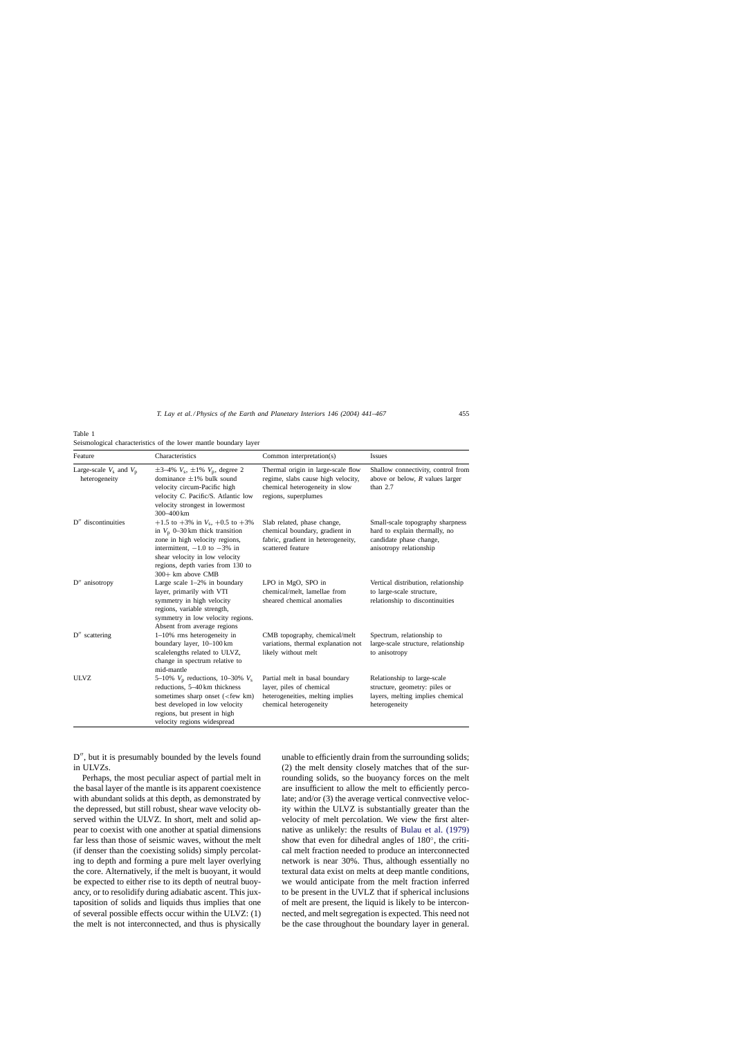| Feature                                      | Characteristics                                                                                                                                                                                                                            | Common interpretation(s)                                                                                                           | Issues                                                                                                                  |
|----------------------------------------------|--------------------------------------------------------------------------------------------------------------------------------------------------------------------------------------------------------------------------------------------|------------------------------------------------------------------------------------------------------------------------------------|-------------------------------------------------------------------------------------------------------------------------|
| Large-scale $V_s$ and $V_p$<br>heterogeneity | $\pm 3 - 4\% V_s$ , $\pm 1\% V_p$ , degree 2<br>dominance $\pm 1\%$ bulk sound<br>velocity circum-Pacific high<br>velocity C. Pacific/S. Atlantic low<br>velocity strongest in lowermost<br>300-400 km                                     | Thermal origin in large-scale flow<br>regime, slabs cause high velocity,<br>chemical heterogeneity in slow<br>regions, superplumes | Shallow connectivity, control from<br>above or below, $R$ values larger<br>than $2.7$                                   |
| D" discontinuities                           | +1.5 to +3% in $V_s$ , +0.5 to +3%<br>in $V_p$ 0–30 km thick transition<br>zone in high velocity regions,<br>intermittent, $-1.0$ to $-3\%$ in<br>shear velocity in low velocity<br>regions, depth varies from 130 to<br>300+ km above CMB | Slab related, phase change,<br>chemical boundary, gradient in<br>fabric, gradient in heterogeneity,<br>scattered feature           | Small-scale topography sharpness<br>hard to explain thermally, no<br>candidate phase change,<br>anisotropy relationship |
| $D''$ anisotropy                             | Large scale $1-2\%$ in boundary<br>layer, primarily with VTI<br>symmetry in high velocity<br>regions, variable strength,<br>symmetry in low velocity regions.<br>Absent from average regions                                               | LPO in MgO, SPO in<br>chemical/melt. lamellae from<br>sheared chemical anomalies                                                   | Vertical distribution, relationship<br>to large-scale structure,<br>relationship to discontinuities                     |
| $D''$ scattering                             | $1-10\%$ rms heterogeneity in<br>boundary layer, 10-100 km<br>scalelengths related to ULVZ,<br>change in spectrum relative to<br>mid-mantle                                                                                                | CMB topography, chemical/melt<br>variations, thermal explanation not<br>likely without melt                                        | Spectrum, relationship to<br>large-scale structure, relationship<br>to anisotropy                                       |
| ULVZ                                         | 5–10% $V_p$ reductions, 10–30% $V_s$<br>reductions, 5-40 km thickness<br>sometimes sharp onset ( <few km)<br="">best developed in low velocity<br/>regions, but present in high<br/>velocity regions widespread</few>                      | Partial melt in basal boundary<br>layer, piles of chemical<br>heterogeneities, melting implies<br>chemical heterogeneity           | Relationship to large-scale<br>structure, geometry: piles or<br>layers, melting implies chemical<br>heterogeneity       |

<span id="page-14-0"></span>Table 1 Seismological characteristics of the lower mantle boundary layer

D", but it is presumably bounded by the levels found in ULVZs.

Perhaps, the most peculiar aspect of partial melt in the basal layer of the mantle is its apparent coexistence with abundant solids at this depth, as demonstrated by the depressed, but still robust, shear wave velocity observed within the ULVZ. In short, melt and solid appear to coexist with one another at spatial dimensions far less than those of seismic waves, without the melt (if denser than the coexisting solids) simply percolating to depth and forming a pure melt layer overlying the core. Alternatively, if the melt is buoyant, it would be expected to either rise to its depth of neutral buoyancy, or to resolidify during adiabatic ascent. This juxtaposition of solids and liquids thus implies that one of several possible effects occur within the ULVZ: (1) the melt is not interconnected, and thus is physically

unable to efficiently drain from the surrounding solids; (2) the melt density closely matches that of the surrounding solids, so the buoyancy forces on the melt are insufficient to allow the melt to efficiently percolate; and/or (3) the average vertical connvective velocity within the ULVZ is substantially greater than the velocity of melt percolation. We view the first alternative as unlikely: the results of [Bulau et al. \(1979\)](#page-22-0) show that even for dihedral angles of 180◦, the critical melt fraction needed to produce an interconnected network is near 30%. Thus, although essentially no textural data exist on melts at deep mantle conditions, we would anticipate from the melt fraction inferred to be present in the UVLZ that if spherical inclusions of melt are present, the liquid is likely to be interconnected, and melt segregation is expected. This need not be the case throughout the boundary layer in general.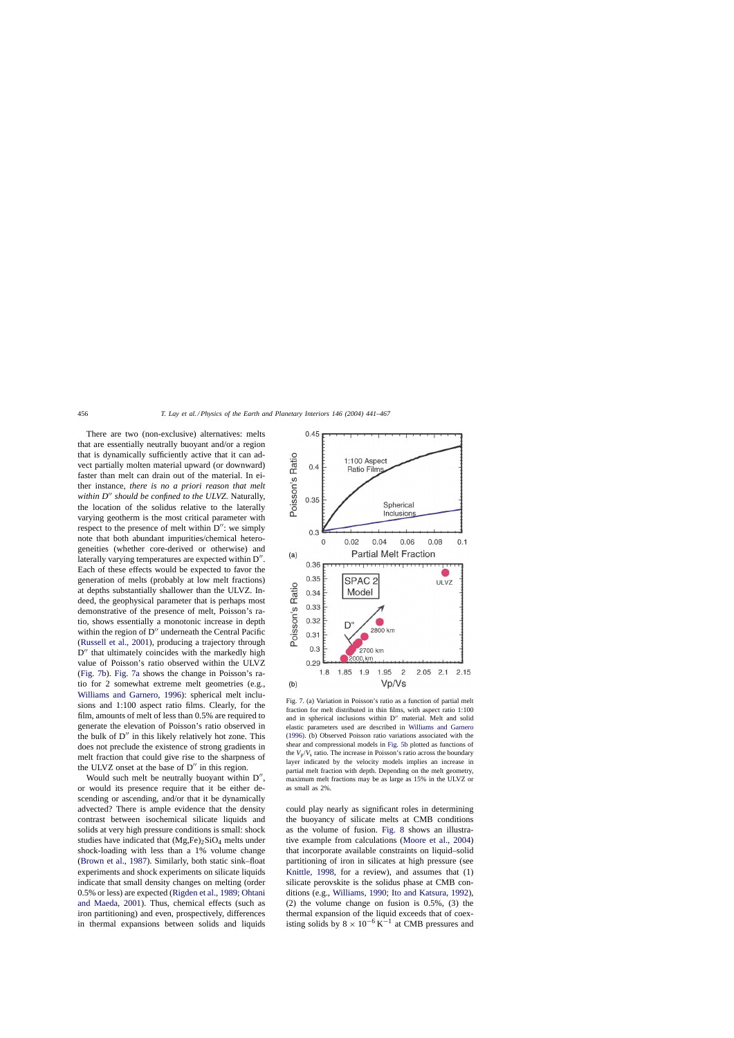<span id="page-15-0"></span>There are two (non-exclusive) alternatives: melts that are essentially neutrally buoyant and/or a region that is dynamically sufficiently active that it can advect partially molten material upward (or downward) faster than melt can drain out of the material. In either instance, *there is no a priori reason that melt* within D<sup>"</sup> should be confined to the ULVZ. Naturally, the location of the solidus relative to the laterally varying geotherm is the most critical parameter with respect to the presence of melt within  $D''$ : we simply note that both abundant impurities/chemical heterogeneities (whether core-derived or otherwise) and laterally varying temperatures are expected within  $D''$ . Each of these effects would be expected to favor the generation of melts (probably at low melt fractions) at depths substantially shallower than the ULVZ. Indeed, the geophysical parameter that is perhaps most demonstrative of the presence of melt, Poisson's ratio, shows essentially a monotonic increase in depth within the region of  $D''$  underneath the Central Pacific ([Russell et al., 2001\),](#page-25-0) producing a trajectory through  $D''$  that ultimately coincides with the markedly high value of Poisson's ratio observed within the ULVZ (Fig. 7b). Fig. 7a shows the change in Poisson's ratio for 2 somewhat extreme melt geometries (e.g., [Williams and Garnero, 1996\)](#page-26-0): spherical melt inclusions and 1:100 aspect ratio films. Clearly, for the film, amounts of melt of less than 0.5% are required to generate the elevation of Poisson's ratio observed in the bulk of  $D''$  in this likely relatively hot zone. This does not preclude the existence of strong gradients in melt fraction that could give rise to the sharpness of the ULVZ onset at the base of  $D''$  in this region.

Would such melt be neutrally buoyant within  $D''$ , or would its presence require that it be either descending or ascending, and/or that it be dynamically advected? There is ample evidence that the density contrast between isochemical silicate liquids and solids at very high pressure conditions is small: shock studies have indicated that  $(Mg,Fe)_2SiO_4$  melts under shock-loading with less than a 1% volume change ([Brown et al., 1987\).](#page-21-0) Similarly, both static sink–float experiments and shock experiments on silicate liquids indicate that small density changes on melting (order 0.5% or less) are expected ([Rigden et al., 1989; Ohtani](#page-25-0) [and Maeda, 2001\)](#page-25-0). Thus, chemical effects (such as iron partitioning) and even, prospectively, differences in thermal expansions between solids and liquids



Fig. 7. (a) Variation in Poisson's ratio as a function of partial melt fraction for melt distributed in thin films, with aspect ratio 1:100 and in spherical inclusions within  $D''$  material. Melt and solid elastic parameters used are described in [Williams and Garnero](#page-26-0) [\(1996\). \(](#page-26-0)b) Observed Poisson ratio variations associated with the shear and compressional models in [Fig. 5b](#page-11-0) plotted as functions of the  $V_p/V_s$  ratio. The increase in Poisson's ratio across the boundary layer indicated by the velocity models implies an increase in partial melt fraction with depth. Depending on the melt geometry, maximum melt fractions may be as large as 15% in the ULVZ or as small as 2%.

could play nearly as significant roles in determining the buoyancy of silicate melts at CMB conditions as the volume of fusion. [Fig. 8](#page-16-0) shows an illustrative example from calculations ([Moore et al., 2004\)](#page-24-0) that incorporate available constraints on liquid–solid partitioning of iron in silicates at high pressure (see [Knittle, 1998,](#page-23-0) for a review), and assumes that (1) silicate perovskite is the solidus phase at CMB conditions (e.g., [Williams, 1990; Ito and Katsura, 1992\),](#page-26-0) (2) the volume change on fusion is 0.5%, (3) the thermal expansion of the liquid exceeds that of coexisting solids by  $8 \times 10^{-6}$  K<sup>-1</sup> at CMB pressures and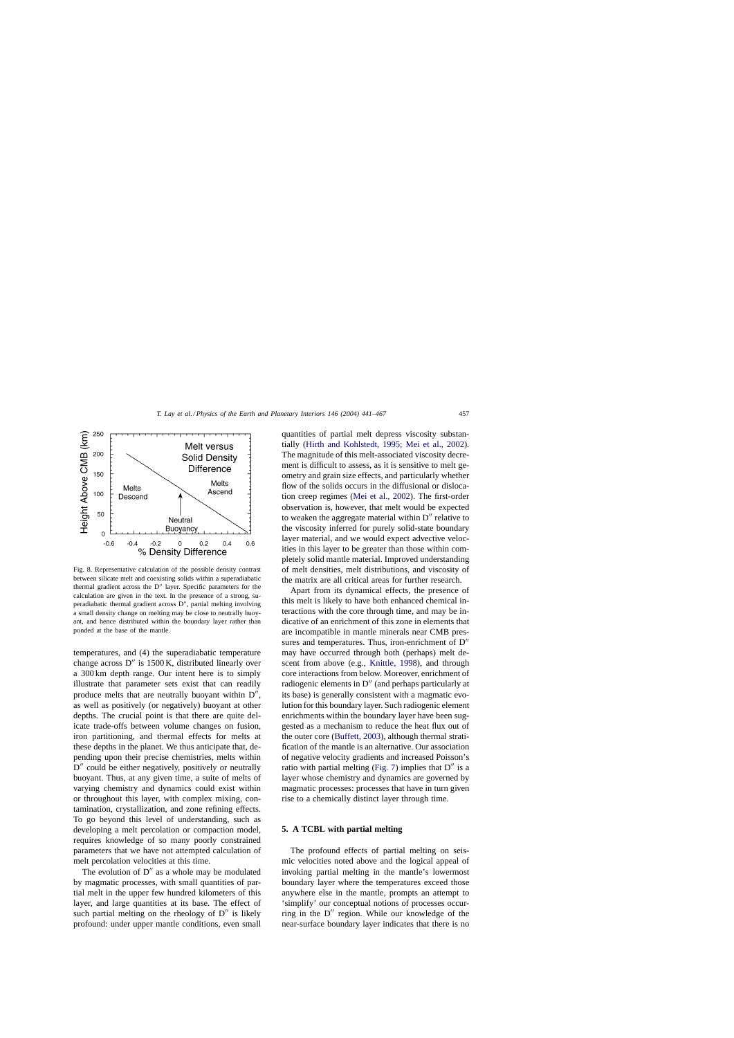<span id="page-16-0"></span>

Fig. 8. Representative calculation of the possible density contrast between silicate melt and coexisting solids within a superadiabatic thermal gradient across the D" layer. Specific parameters for the calculation are given in the text. In the presence of a strong, superadiabatic thermal gradient across D", partial melting involving a small density change on melting may be close to neutrally buoyant, and hence distributed within the boundary layer rather than ponded at the base of the mantle.

temperatures, and (4) the superadiabatic temperature change across  $D''$  is 1500 K, distributed linearly over a 300 km depth range. Our intent here is to simply illustrate that parameter sets exist that can readily produce melts that are neutrally buoyant within  $D''$ , as well as positively (or negatively) buoyant at other depths. The crucial point is that there are quite delicate trade-offs between volume changes on fusion, iron partitioning, and thermal effects for melts at these depths in the planet. We thus anticipate that, depending upon their precise chemistries, melts within D<sup>"</sup> could be either negatively, positively or neutrally buoyant. Thus, at any given time, a suite of melts of varying chemistry and dynamics could exist within or throughout this layer, with complex mixing, contamination, crystallization, and zone refining effects. To go beyond this level of understanding, such as developing a melt percolation or compaction model, requires knowledge of so many poorly constrained parameters that we have not attempted calculation of melt percolation velocities at this time.

The evolution of  $D''$  as a whole may be modulated by magmatic processes, with small quantities of partial melt in the upper few hundred kilometers of this layer, and large quantities at its base. The effect of such partial melting on the rheology of  $D''$  is likely profound: under upper mantle conditions, even small

quantities of partial melt depress viscosity substantially [\(Hirth and Kohlstedt, 1995; Mei et al., 2002](#page-23-0)). The magnitude of this melt-associated viscosity decrement is difficult to assess, as it is sensitive to melt geometry and grain size effects, and particularly whether flow of the solids occurs in the diffusional or dislocation creep regimes [\(Mei et al., 2002\).](#page-24-0) The first-order observation is, however, that melt would be expected to weaken the aggregate material within  $D''$  relative to the viscosity inferred for purely solid-state boundary layer material, and we would expect advective velocities in this layer to be greater than those within completely solid mantle material. Improved understanding of melt densities, melt distributions, and viscosity of the matrix are all critical areas for further research.

Apart from its dynamical effects, the presence of this melt is likely to have both enhanced chemical interactions with the core through time, and may be indicative of an enrichment of this zone in elements that are incompatible in mantle minerals near CMB pressures and temperatures. Thus, iron-enrichment of  $D''$ may have occurred through both (perhaps) melt descent from above (e.g., [Knittle, 1998\)](#page-23-0), and through core interactions from below. Moreover, enrichment of radiogenic elements in D'' (and perhaps particularly at its base) is generally consistent with a magmatic evolution for this boundary layer. Such radiogenic element enrichments within the boundary layer have been suggested as a mechanism to reduce the heat flux out of the outer core ([Buffett, 2003\),](#page-22-0) although thermal stratification of the mantle is an alternative. Our association of negative velocity gradients and increased Poisson's ratio with partial melting [\(Fig. 7\)](#page-15-0) implies that  $D''$  is a layer whose chemistry and dynamics are governed by magmatic processes: processes that have in turn given rise to a chemically distinct layer through time.

# **5. A TCBL with partial melting**

The profound effects of partial melting on seismic velocities noted above and the logical appeal of invoking partial melting in the mantle's lowermost boundary layer where the temperatures exceed those anywhere else in the mantle, prompts an attempt to 'simplify' our conceptual notions of processes occurring in the  $D''$  region. While our knowledge of the near-surface boundary layer indicates that there is no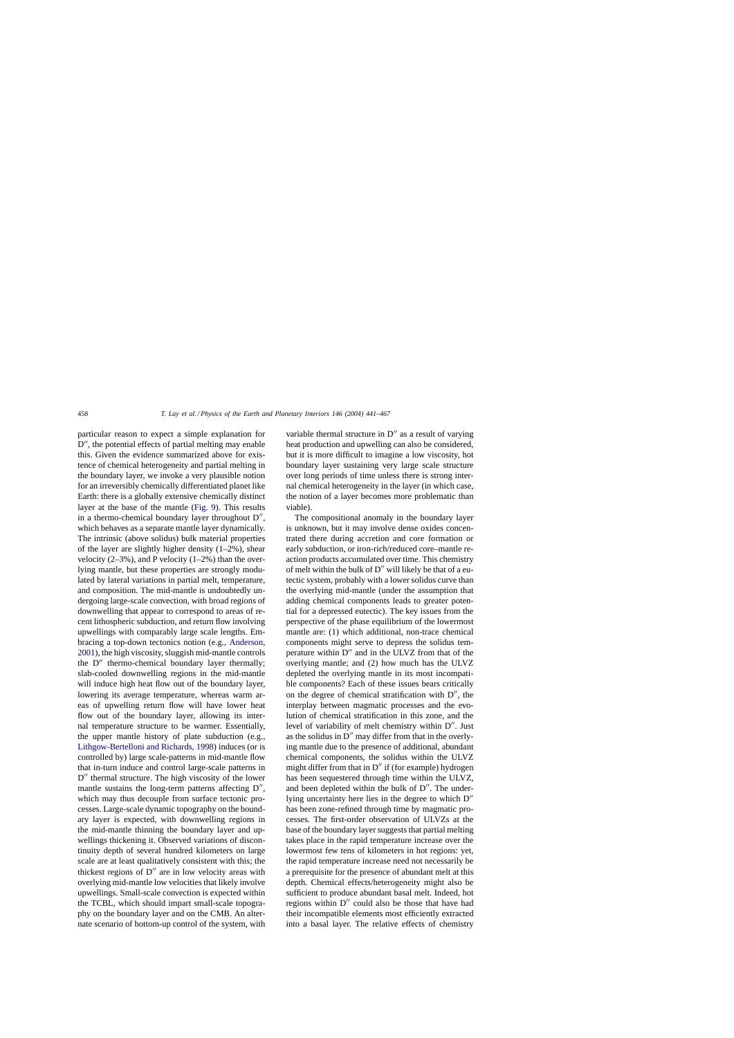particular reason to expect a simple explanation for D", the potential effects of partial melting may enable this. Given the evidence summarized above for existence of chemical heterogeneity and partial melting in the boundary layer, we invoke a very plausible notion for an irreversibly chemically differentiated planet like Earth: there is a globally extensive chemically distinct layer at the base of the mantle [\(Fig. 9\).](#page-18-0) This results in a thermo-chemical boundary layer throughout  $D''$ , which behaves as a separate mantle layer dynamically. The intrinsic (above solidus) bulk material properties of the layer are slightly higher density  $(1-2\%)$ , shear velocity  $(2-3\%)$ , and P velocity  $(1-2\%)$  than the overlying mantle, but these properties are strongly modulated by lateral variations in partial melt, temperature, and composition. The mid-mantle is undoubtedly undergoing large-scale convection, with broad regions of downwelling that appear to correspond to areas of recent lithospheric subduction, and return flow involving upwellings with comparably large scale lengths. Embracing a top-down tectonics notion (e.g., [Anderson,](#page-21-0) [2001\),](#page-21-0) the high viscosity, sluggish mid-mantle controls the  $D''$  thermo-chemical boundary layer thermally; slab-cooled downwelling regions in the mid-mantle will induce high heat flow out of the boundary layer, lowering its average temperature, whereas warm areas of upwelling return flow will have lower heat flow out of the boundary layer, allowing its internal temperature structure to be warmer. Essentially, the upper mantle history of plate subduction (e.g., [Lithgow-Bertelloni and Richards, 1998\) i](#page-24-0)nduces (or is controlled by) large scale-patterns in mid-mantle flow that in-turn induce and control large-scale patterns in D'' thermal structure. The high viscosity of the lower mantle sustains the long-term patterns affecting  $D''$ , which may thus decouple from surface tectonic processes. Large-scale dynamic topography on the boundary layer is expected, with downwelling regions in the mid-mantle thinning the boundary layer and upwellings thickening it. Observed variations of discontinuity depth of several hundred kilometers on large scale are at least qualitatively consistent with this; the thickest regions of  $D''$  are in low velocity areas with overlying mid-mantle low velocities that likely involve upwellings. Small-scale convection is expected within the TCBL, which should impart small-scale topography on the boundary layer and on the CMB. An alternate scenario of bottom-up control of the system, with

variable thermal structure in  $D''$  as a result of varying heat production and upwelling can also be considered, but it is more difficult to imagine a low viscosity, hot boundary layer sustaining very large scale structure over long periods of time unless there is strong internal chemical heterogeneity in the layer (in which case, the notion of a layer becomes more problematic than viable).

The compositional anomaly in the boundary layer is unknown, but it may involve dense oxides concentrated there during accretion and core formation or early subduction, or iron-rich/reduced core–mantle reaction products accumulated over time. This chemistry of melt within the bulk of  $D''$  will likely be that of a eutectic system, probably with a lower solidus curve than the overlying mid-mantle (under the assumption that adding chemical components leads to greater potential for a depressed eutectic). The key issues from the perspective of the phase equilibrium of the lowermost mantle are: (1) which additional, non-trace chemical components might serve to depress the solidus temperature within  $D''$  and in the ULVZ from that of the overlying mantle; and (2) how much has the ULVZ depleted the overlying mantle in its most incompatible components? Each of these issues bears critically on the degree of chemical stratification with  $D''$ , the interplay between magmatic processes and the evolution of chemical stratification in this zone, and the level of variability of melt chemistry within D". Just as the solidus in  $D''$  may differ from that in the overlying mantle due to the presence of additional, abundant chemical components, the solidus within the ULVZ might differ from that in  $D''$  if (for example) hydrogen has been sequestered through time within the ULVZ, and been depleted within the bulk of  $D''$ . The underlying uncertainty here lies in the degree to which  $D''$ has been zone-refined through time by magmatic processes. The first-order observation of ULVZs at the base of the boundary layer suggests that partial melting takes place in the rapid temperature increase over the lowermost few tens of kilometers in hot regions: yet, the rapid temperature increase need not necessarily be a prerequisite for the presence of abundant melt at this depth. Chemical effects/heterogeneity might also be sufficient to produce abundant basal melt. Indeed, hot regions within D" could also be those that have had their incompatible elements most efficiently extracted into a basal layer. The relative effects of chemistry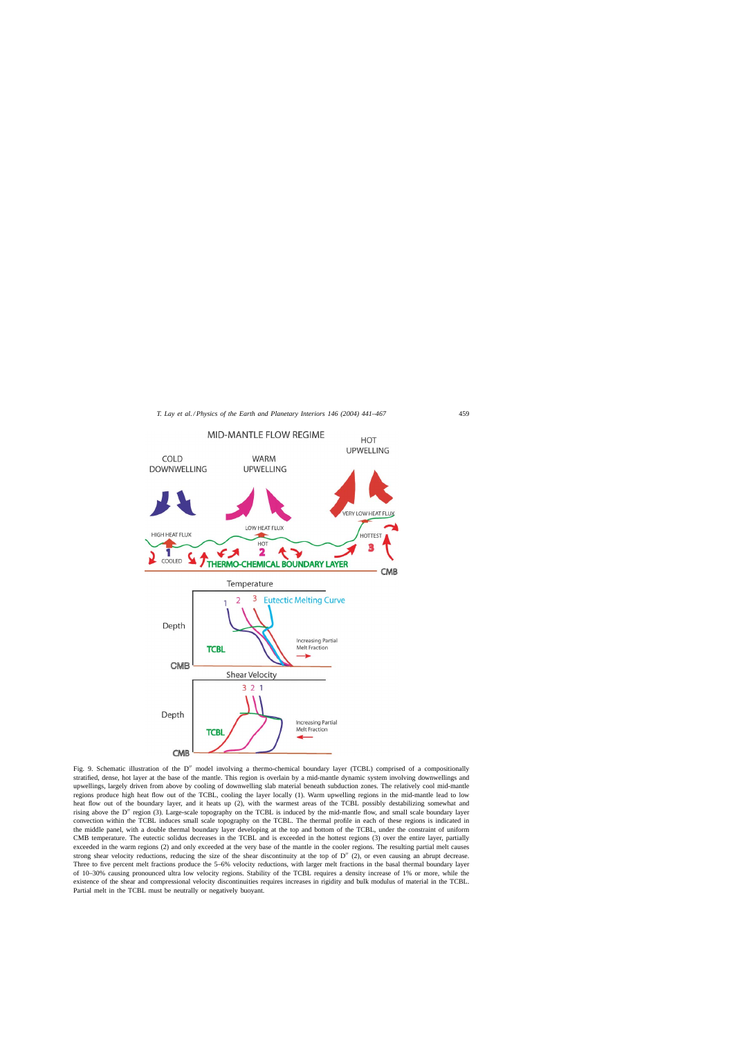<span id="page-18-0"></span>

Fig. 9. Schematic illustration of the D" model involving a thermo-chemical boundary layer (TCBL) comprised of a compositionally stratified, dense, hot layer at the base of the mantle. This region is overlain by a mid-mantle dynamic system involving downwellings and upwellings, largely driven from above by cooling of downwelling slab material beneath subduction zones. The relatively cool mid-mantle regions produce high heat flow out of the TCBL, cooling the layer locally (1). Warm upwelling regions in the mid-mantle lead to low heat flow out of the boundary layer, and it heats up (2), with the warmest areas of the TCBL possibly destabilizing somewhat and rising above the D'' region (3). Large-scale topography on the TCBL is induced by the mid-mantle flow, and small scale boundary layer convection within the TCBL induces small scale topography on the TCBL. The thermal profile in each of these regions is indicated in the middle panel, with a double thermal boundary layer developing at the top and bottom of the TCBL, under the constraint of uniform CMB temperature. The eutectic solidus decreases in the TCBL and is exceeded in the hottest regions (3) over the entire layer, partially exceeded in the warm regions (2) and only exceeded at the very base of the mantle in the cooler regions. The resulting partial melt causes strong shear velocity reductions, reducing the size of the shear discontinuity at the top of  $D''(2)$ , or even causing an abrupt decrease. Three to five percent melt fractions produce the 5–6% velocity reductions, with larger melt fractions in the basal thermal boundary layer of 10–30% causing pronounced ultra low velocity regions. Stability of the TCBL requires a density increase of 1% or more, while the existence of the shear and compressional velocity discontinuities requires increases in rigidity and bulk modulus of material in the TCBL. Partial melt in the TCBL must be neutrally or negatively buoyant.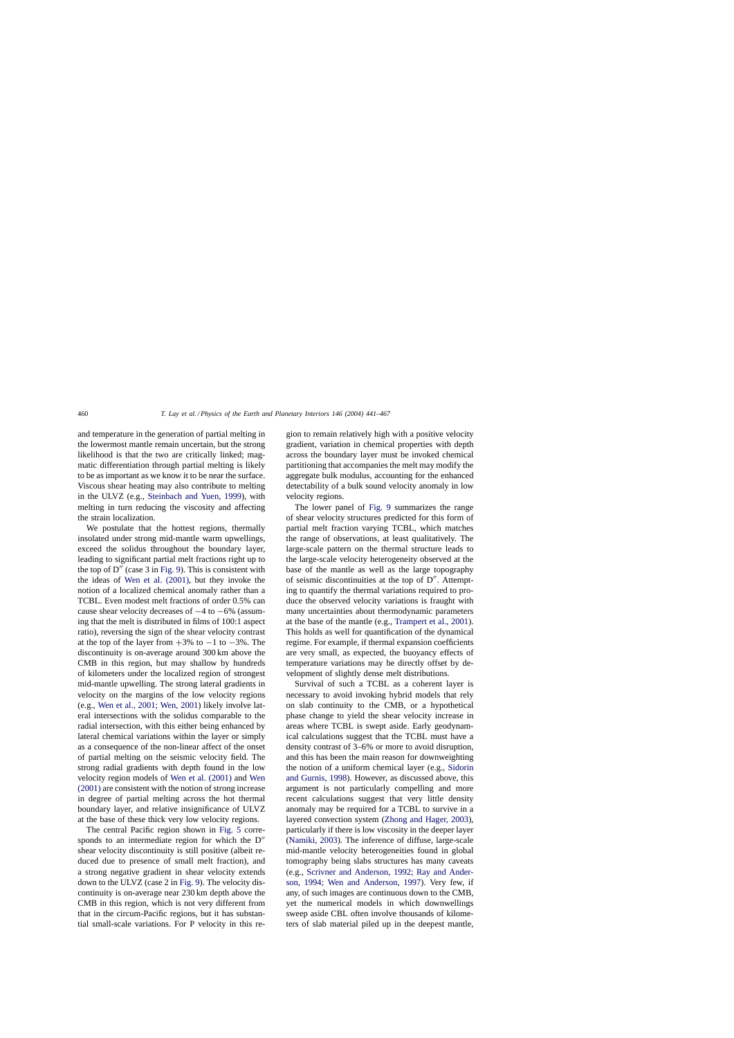and temperature in the generation of partial melting in the lowermost mantle remain uncertain, but the strong likelihood is that the two are critically linked; magmatic differentiation through partial melting is likely to be as important as we know it to be near the surface. Viscous shear heating may also contribute to melting in the ULVZ (e.g., [Steinbach and Yuen, 1999\)](#page-25-0), with melting in turn reducing the viscosity and affecting the strain localization.

We postulate that the hottest regions, thermally insolated under strong mid-mantle warm upwellings, exceed the solidus throughout the boundary layer, leading to significant partial melt fractions right up to the top of  $D''$  (case 3 in [Fig. 9\).](#page-18-0) This is consistent with the ideas of [Wen et al. \(2001\),](#page-26-0) but they invoke the notion of a localized chemical anomaly rather than a TCBL. Even modest melt fractions of order 0.5% can cause shear velocity decreases of −4 to −6% (assuming that the melt is distributed in films of 100:1 aspect ratio), reversing the sign of the shear velocity contrast at the top of the layer from  $+3\%$  to  $-1$  to  $-3\%$ . The discontinuity is on-average around 300 km above the CMB in this region, but may shallow by hundreds of kilometers under the localized region of strongest mid-mantle upwelling. The strong lateral gradients in velocity on the margins of the low velocity regions (e.g., [Wen et al., 2001; Wen, 2001\)](#page-26-0) likely involve lateral intersections with the solidus comparable to the radial intersection, with this either being enhanced by lateral chemical variations within the layer or simply as a consequence of the non-linear affect of the onset of partial melting on the seismic velocity field. The strong radial gradients with depth found in the low velocity region models of [Wen et al. \(2001\)](#page-26-0) and [Wen](#page-26-0) [\(2001\)](#page-26-0) are consistent with the notion of strong increase in degree of partial melting across the hot thermal boundary layer, and relative insignificance of ULVZ at the base of these thick very low velocity regions.

The central Pacific region shown in [Fig. 5](#page-11-0) corresponds to an intermediate region for which the  $D''$ shear velocity discontinuity is still positive (albeit reduced due to presence of small melt fraction), and a strong negative gradient in shear velocity extends down to the ULVZ (case 2 in [Fig. 9\).](#page-18-0) The velocity discontinuity is on-average near 230 km depth above the CMB in this region, which is not very different from that in the circum-Pacific regions, but it has substantial small-scale variations. For P velocity in this region to remain relatively high with a positive velocity gradient, variation in chemical properties with depth across the boundary layer must be invoked chemical partitioning that accompanies the melt may modify the aggregate bulk modulus, accounting for the enhanced detectability of a bulk sound velocity anomaly in low velocity regions.

The lower panel of [Fig. 9](#page-18-0) summarizes the range of shear velocity structures predicted for this form of partial melt fraction varying TCBL, which matches the range of observations, at least qualitatively. The large-scale pattern on the thermal structure leads to the large-scale velocity heterogeneity observed at the base of the mantle as well as the large topography of seismic discontinuities at the top of  $D''$ . Attempting to quantify the thermal variations required to produce the observed velocity variations is fraught with many uncertainties about thermodynamic parameters at the base of the mantle (e.g., [Trampert et al., 2001\).](#page-26-0) This holds as well for quantification of the dynamical regime. For example, if thermal expansion coefficients are very small, as expected, the buoyancy effects of temperature variations may be directly offset by development of slightly dense melt distributions.

Survival of such a TCBL as a coherent layer is necessary to avoid invoking hybrid models that rely on slab continuity to the CMB, or a hypothetical phase change to yield the shear velocity increase in areas where TCBL is swept aside. Early geodynamical calculations suggest that the TCBL must have a density contrast of 3–6% or more to avoid disruption, and this has been the main reason for downweighting the notion of a uniform chemical layer (e.g., [Sidorin](#page-25-0) [and Gurnis, 1998\).](#page-25-0) However, as discussed above, this argument is not particularly compelling and more recent calculations suggest that very little density anomaly may be required for a TCBL to survive in a layered convection system [\(Zhong and Hager, 2003\),](#page-26-0) particularly if there is low viscosity in the deeper layer ([Namiki, 2003\).](#page-24-0) The inference of diffuse, large-scale mid-mantle velocity heterogeneities found in global tomography being slabs structures has many caveats (e.g., [Scrivner and Anderson, 1992; Ray and Ander](#page-25-0)[son, 1994; Wen and Anderson, 1997](#page-25-0)). Very few, if any, of such images are continuous down to the CMB, yet the numerical models in which downwellings sweep aside CBL often involve thousands of kilometers of slab material piled up in the deepest mantle,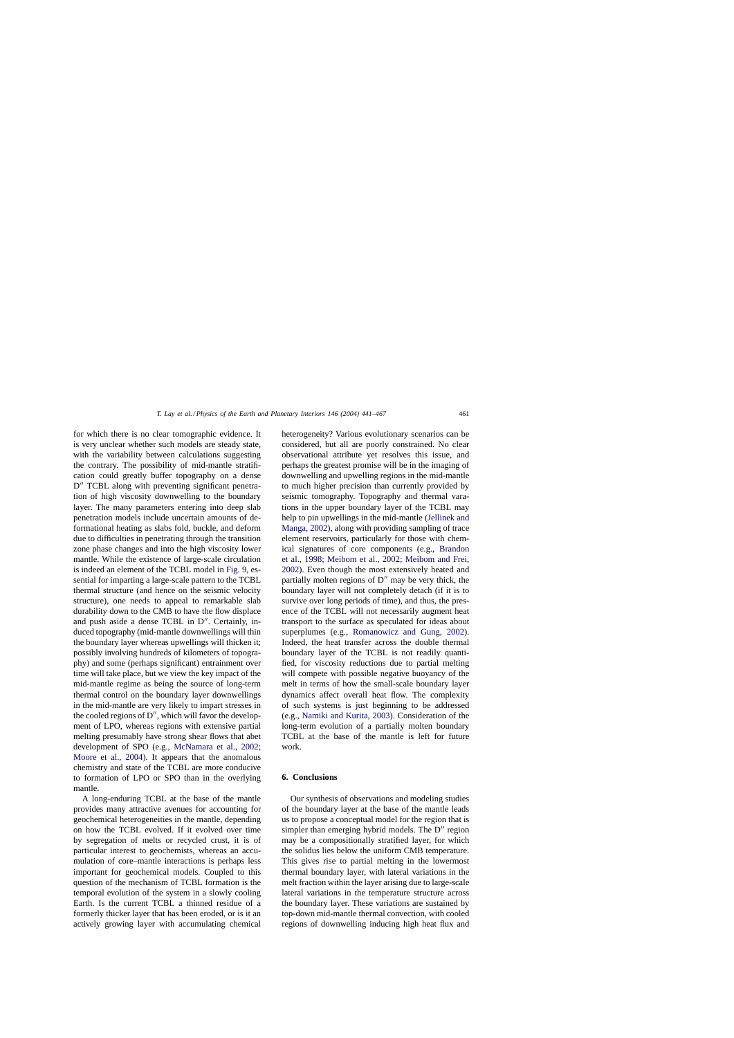for which there is no clear tomographic evidence. It is very unclear whether such models are steady state, with the variability between calculations suggesting the contrary. The possibility of mid-mantle stratification could greatly buffer topography on a dense D<sup>"</sup> TCBL along with preventing significant penetration of high viscosity downwelling to the boundary layer. The many parameters entering into deep slab penetration models include uncertain amounts of deformational heating as slabs fold, buckle, and deform due to difficulties in penetrating through the transition zone phase changes and into the high viscosity lower mantle. While the existence of large-scale circulation is indeed an element of the TCBL model in [Fig. 9, e](#page-18-0)ssential for imparting a large-scale pattern to the TCBL thermal structure (and hence on the seismic velocity structure), one needs to appeal to remarkable slab durability down to the CMB to have the flow displace and push aside a dense TCBL in  $D''$ . Certainly, induced topography (mid-mantle downwellings will thin the boundary layer whereas upwellings will thicken it; possibly involving hundreds of kilometers of topography) and some (perhaps significant) entrainment over time will take place, but we view the key impact of the mid-mantle regime as being the source of long-term thermal control on the boundary layer downwellings in the mid-mantle are very likely to impart stresses in the cooled regions of D", which will favor the development of LPO, whereas regions with extensive partial melting presumably have strong shear flows that abet development of SPO (e.g., [McNamara et al., 2002;](#page-24-0) [Moore et al., 2004\)](#page-24-0). It appears that the anomalous chemistry and state of the TCBL are more conducive to formation of LPO or SPO than in the overlying mantle.

A long-enduring TCBL at the base of the mantle provides many attractive avenues for accounting for geochemical heterogeneities in the mantle, depending on how the TCBL evolved. If it evolved over time by segregation of melts or recycled crust, it is of particular interest to geochemists, whereas an accumulation of core–mantle interactions is perhaps less important for geochemical models. Coupled to this question of the mechanism of TCBL formation is the temporal evolution of the system in a slowly cooling Earth. Is the current TCBL a thinned residue of a formerly thicker layer that has been eroded, or is it an actively growing layer with accumulating chemical

heterogeneity? Various evolutionary scenarios can be considered, but all are poorly constrained. No clear observational attribute yet resolves this issue, and perhaps the greatest promise will be in the imaging of downwelling and upwelling regions in the mid-mantle to much higher precision than currently provided by seismic tomography. Topography and thermal varations in the upper boundary layer of the TCBL may help to pin upwellings in the mid-mantle ([Jellinek and](#page-23-0) [Manga, 2002\),](#page-23-0) along with providing sampling of trace element reservoirs, particularly for those with chemical signatures of core components (e.g., [Brandon](#page-21-0) [et al., 1998; Meibom et al., 2002; Meibom and Frei,](#page-21-0) [2002\).](#page-21-0) Even though the most extensively heated and partially molten regions of  $D''$  may be very thick, the boundary layer will not completely detach (if it is to survive over long periods of time), and thus, the presence of the TCBL will not necessarily augment heat transport to the surface as speculated for ideas about superplumes (e.g., [Romanowicz and Gung, 2002](#page-25-0)). Indeed, the heat transfer across the double thermal boundary layer of the TCBL is not readily quantified, for viscosity reductions due to partial melting will compete with possible negative buoyancy of the melt in terms of how the small-scale boundary layer dynamics affect overall heat flow. The complexity of such systems is just beginning to be addressed (e.g., [Namiki and Kurita, 2003\).](#page-24-0) Consideration of the long-term evolution of a partially molten boundary TCBL at the base of the mantle is left for future work.

## **6. Conclusions**

Our synthesis of observations and modeling studies of the boundary layer at the base of the mantle leads us to propose a conceptual model for the region that is simpler than emerging hybrid models. The  $D''$  region may be a compositionally stratified layer, for which the solidus lies below the uniform CMB temperature. This gives rise to partial melting in the lowermost thermal boundary layer, with lateral variations in the melt fraction within the layer arising due to large-scale lateral variations in the temperature structure across the boundary layer. These variations are sustained by top-down mid-mantle thermal convection, with cooled regions of downwelling inducing high heat flux and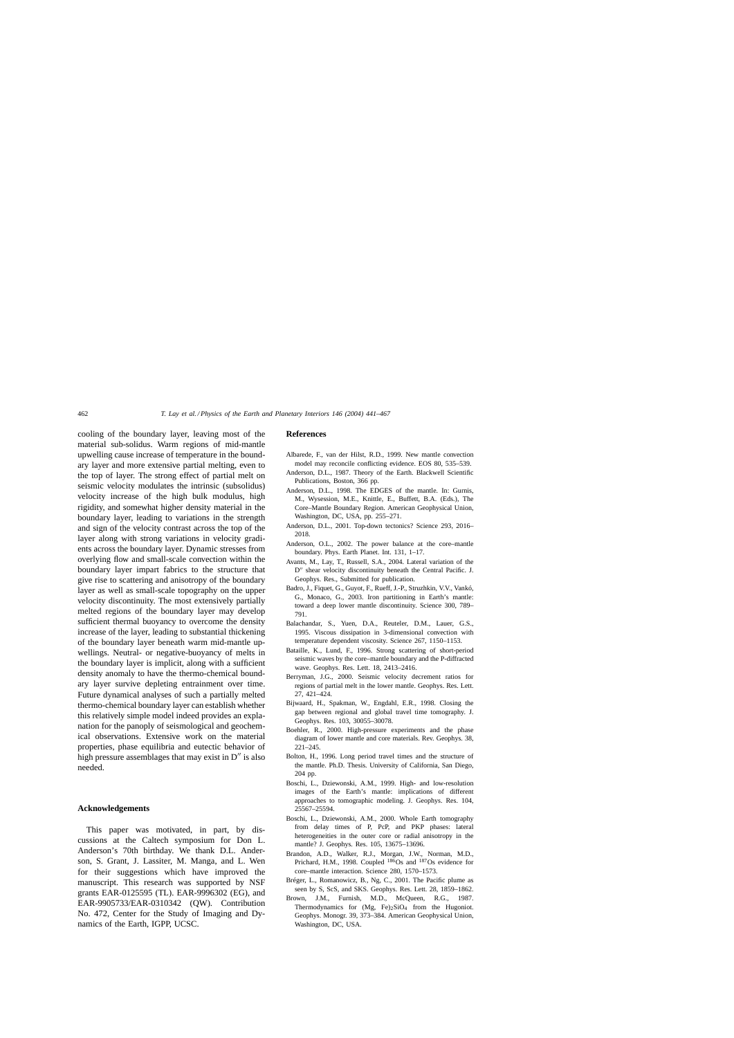<span id="page-21-0"></span>cooling of the boundary layer, leaving most of the material sub-solidus. Warm regions of mid-mantle upwelling cause increase of temperature in the boundary layer and more extensive partial melting, even to the top of layer. The strong effect of partial melt on seismic velocity modulates the intrinsic (subsolidus) velocity increase of the high bulk modulus, high rigidity, and somewhat higher density material in the boundary layer, leading to variations in the strength and sign of the velocity contrast across the top of the layer along with strong variations in velocity gradients across the boundary layer. Dynamic stresses from overlying flow and small-scale convection within the boundary layer impart fabrics to the structure that give rise to scattering and anisotropy of the boundary layer as well as small-scale topography on the upper velocity discontinuity. The most extensively partially melted regions of the boundary layer may develop sufficient thermal buoyancy to overcome the density increase of the layer, leading to substantial thickening of the boundary layer beneath warm mid-mantle upwellings. Neutral- or negative-buoyancy of melts in the boundary layer is implicit, along with a sufficient density anomaly to have the thermo-chemical boundary layer survive depleting entrainment over time. Future dynamical analyses of such a partially melted thermo-chemical boundary layer can establish whether this relatively simple model indeed provides an explanation for the panoply of seismological and geochemical observations. Extensive work on the material properties, phase equilibria and eutectic behavior of high pressure assemblages that may exist in  $D''$  is also needed.

#### **Acknowledgements**

This paper was motivated, in part, by discussions at the Caltech symposium for Don L. Anderson's 70th birthday. We thank D.L. Anderson, S. Grant, J. Lassiter, M. Manga, and L. Wen for their suggestions which have improved the manuscript. This research was supported by NSF grants EAR-0125595 (TL). EAR-9996302 (EG), and EAR-9905733/EAR-0310342 (QW). Contribution No. 472, Center for the Study of Imaging and Dynamics of the Earth, IGPP, UCSC.

#### **References**

- Albarede, F., van der Hilst, R.D., 1999. New mantle convection model may reconcile conflicting evidence. EOS 80, 535–539.
- Anderson, D.L., 1987. Theory of the Earth. Blackwell Scientific Publications, Boston, 366 pp.
- Anderson, D.L., 1998. The EDGES of the mantle. In: Gurnis, M., Wysession, M.E., Knittle, E., Buffett, B.A. (Eds.), The Core–Mantle Boundary Region. American Geophysical Union, Washington, DC, USA, pp. 255–271.
- Anderson, D.L., 2001. Top-down tectonics? Science 293, 2016– 2018.
- Anderson, O.L., 2002. The power balance at the core–mantle boundary. Phys. Earth Planet. Int. 131, 1–17.
- Avants, M., Lay, T., Russell, S.A., 2004. Lateral variation of the D" shear velocity discontinuity beneath the Central Pacific. J. Geophys. Res., Submitted for publication.
- Badro, J., Fiquet, G., Guyot, F., Rueff, J.-P., Struzhkin, V.V., Vankó, G., Monaco, G., 2003. Iron partitioning in Earth's mantle: toward a deep lower mantle discontinuity. Science 300, 789– 791.
- Balachandar, S., Yuen, D.A., Reuteler, D.M., Lauer, G.S., 1995. Viscous dissipation in 3-dimensional convection with temperature dependent viscosity. Science 267, 1150–1153.
- Bataille, K., Lund, F., 1996. Strong scattering of short-period seismic waves by the core–mantle boundary and the P-diffracted wave. Geophys. Res. Lett. 18, 2413–2416.
- Berryman, J.G., 2000. Seismic velocity decrement ratios for regions of partial melt in the lower mantle. Geophys. Res. Lett. 27, 421–424.
- Bijwaard, H., Spakman, W., Engdahl, E.R., 1998. Closing the gap between regional and global travel time tomography. J. Geophys. Res. 103, 30055–30078.
- Boehler, R., 2000. High-pressure experiments and the phase diagram of lower mantle and core materials. Rev. Geophys. 38, 221–245.
- Bolton, H., 1996. Long period travel times and the structure of the mantle. Ph.D. Thesis. University of California, San Diego, 204 pp.
- Boschi, L., Dziewonski, A.M., 1999. High- and low-resolution images of the Earth's mantle: implications of different approaches to tomographic modeling. J. Geophys. Res. 104, 25567–25594.
- Boschi, L., Dziewonski, A.M., 2000. Whole Earth tomography from delay times of P, PcP, and PKP phases: lateral heterogeneities in the outer core or radial anisotropy in the mantle? J. Geophys. Res. 105, 13675–13696.
- Brandon, A.D., Walker, R.J., Morgan, J.W., Norman, M.D., Prichard, H.M., 1998. Coupled  $18\overline{6}$  Os and  $187$  Os evidence for core–mantle interaction. Science 280, 1570–1573.
- Bréger, L., Romanowicz, B., Ng, C., 2001. The Pacific plume as seen by S, ScS, and SKS. Geophys. Res. Lett. 28, 1859–1862.
- Brown, J.M., Furnish, M.D., McQueen, R.G., 1987. Thermodynamics for  $(Mg, Fe)_2SiO_4$  from the Hugoniot. Geophys. Monogr. 39, 373–384. American Geophysical Union, Washington, DC, USA.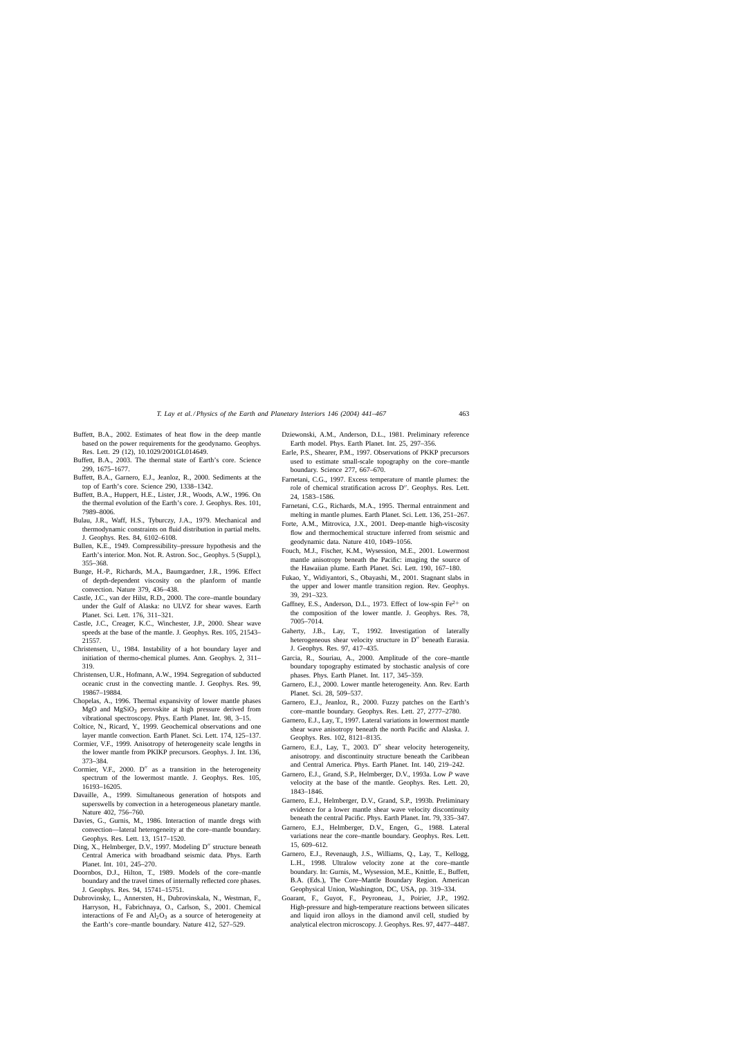- <span id="page-22-0"></span>Buffett, B.A., 2002. Estimates of heat flow in the deep mantle based on the power requirements for the geodynamo. Geophys. Res. Lett. 29 (12), 10.1029/2001GL014649.
- Buffett, B.A., 2003. The thermal state of Earth's core. Science 299, 1675–1677.
- Buffett, B.A., Garnero, E.J., Jeanloz, R., 2000. Sediments at the top of Earth's core. Science 290, 1338–1342.
- Buffett, B.A., Huppert, H.E., Lister, J.R., Woods, A.W., 1996. On the thermal evolution of the Earth's core. J. Geophys. Res. 101, 7989–8006.
- Bulau, J.R., Waff, H.S., Tyburczy, J.A., 1979. Mechanical and thermodynamic constraints on fluid distribution in partial melts. J. Geophys. Res. 84, 6102–6108.
- Bullen, K.E., 1949. Compressibility–pressure hypothesis and the Earth's interior. Mon. Not. R. Astron. Soc., Geophys. 5 (Suppl.), 355–368.
- Bunge, H.-P., Richards, M.A., Baumgardner, J.R., 1996. Effect of depth-dependent viscosity on the planform of mantle convection. Nature 379, 436–438.
- Castle, J.C., van der Hilst, R.D., 2000. The core–mantle boundary under the Gulf of Alaska: no ULVZ for shear waves. Earth Planet. Sci. Lett. 176, 311–321.
- Castle, J.C., Creager, K.C., Winchester, J.P., 2000. Shear wave speeds at the base of the mantle. J. Geophys. Res. 105, 21543– 21557.
- Christensen, U., 1984. Instability of a hot boundary layer and initiation of thermo-chemical plumes. Ann. Geophys. 2, 311– 319.
- Christensen, U.R., Hofmann, A.W., 1994. Segregation of subducted oceanic crust in the convecting mantle. J. Geophys. Res. 99, 19867–19884.
- Chopelas, A., 1996. Thermal expansivity of lower mantle phases  $MgO$  and  $MgSiO<sub>3</sub>$  perovskite at high pressure derived from vibrational spectroscopy. Phys. Earth Planet. Int. 98, 3–15.
- Coltice, N., Ricard, Y., 1999. Geochemical observations and one layer mantle convection. Earth Planet. Sci. Lett. 174, 125–137.
- Cormier, V.F., 1999. Anisotropy of heterogeneity scale lengths in the lower mantle from PKIKP precursors. Geophys. J. Int. 136, 373–384.
- Cormier, V.F.,  $2000$ .  $D''$  as a transition in the heterogeneity spectrum of the lowermost mantle. J. Geophys. Res. 105, 16193–16205.
- Davaille, A., 1999. Simultaneous generation of hotspots and superswells by convection in a heterogeneous planetary mantle. Nature 402, 756–760.
- Davies, G., Gurnis, M., 1986. Interaction of mantle dregs with convection—lateral heterogeneity at the core–mantle boundary. Geophys. Res. Lett. 13, 1517–1520.
- Ding, X., Helmberger, D.V., 1997. Modeling D" structure beneath Central America with broadband seismic data. Phys. Earth Planet. Int. 101, 245–270.
- Doornbos, D.J., Hilton, T., 1989. Models of the core–mantle boundary and the travel times of internally reflected core phases. J. Geophys. Res. 94, 15741–15751.
- Dubrovinsky, L., Annersten, H., Dubrovinskala, N., Westman, F., Harryson, H., Fabrichnaya, O., Carlson, S., 2001. Chemical interactions of Fe and  $Al_2O_3$  as a source of heterogeneity at the Earth's core–mantle boundary. Nature 412, 527–529.
- Dziewonski, A.M., Anderson, D.L., 1981. Preliminary reference Earth model. Phys. Earth Planet. Int. 25, 297–356.
- Earle, P.S., Shearer, P.M., 1997. Observations of PKKP precursors used to estimate small-scale topography on the core–mantle boundary. Science 277, 667–670.
- Farnetani, C.G., 1997. Excess temperature of mantle plumes: the role of chemical stratification across D". Geophys. Res. Lett. 24, 1583–1586.
- Farnetani, C.G., Richards, M.A., 1995. Thermal entrainment and melting in mantle plumes. Earth Planet. Sci. Lett. 136, 251–267.
- Forte, A.M., Mitrovica, J.X., 2001. Deep-mantle high-viscosity flow and thermochemical structure inferred from seismic and geodynamic data. Nature 410, 1049–1056.
- Fouch, M.J., Fischer, K.M., Wysession, M.E., 2001. Lowermost mantle anisotropy beneath the Pacific: imaging the source of the Hawaiian plume. Earth Planet. Sci. Lett. 190, 167–180.
- Fukao, Y., Widiyantori, S., Obayashi, M., 2001. Stagnant slabs in the upper and lower mantle transition region. Rev. Geophys. 39, 291–323.
- Gaffney, E.S., Anderson, D.L., 1973. Effect of low-spin  $Fe^{2+}$  on the composition of the lower mantle. J. Geophys. Res. 78, 7005–7014.
- Gaherty, J.B., Lay, T., 1992. Investigation of laterally heterogeneous shear velocity structure in D" beneath Eurasia. J. Geophys. Res. 97, 417–435.
- Garcia, R., Souriau, A., 2000. Amplitude of the core–mantle boundary topography estimated by stochastic analysis of core phases. Phys. Earth Planet. Int. 117, 345–359.
- Garnero, E.J., 2000. Lower mantle heterogeneity. Ann. Rev. Earth Planet. Sci. 28, 509–537.
- Garnero, E.J., Jeanloz, R., 2000. Fuzzy patches on the Earth's core–mantle boundary. Geophys. Res. Lett. 27, 2777–2780.
- Garnero, E.J., Lay, T., 1997. Lateral variations in lowermost mantle shear wave anisotropy beneath the north Pacific and Alaska. J. Geophys. Res. 102, 8121–8135.
- Garnero, E.J., Lay, T., 2003. D" shear velocity heterogeneity, anisotropy. and discontinuity structure beneath the Caribbean and Central America. Phys. Earth Planet. Int. 140, 219–242.
- Garnero, E.J., Grand, S.P., Helmberger, D.V., 1993a. Low *P* wave velocity at the base of the mantle. Geophys. Res. Lett. 20, 1843–1846.
- Garnero, E.J., Helmberger, D.V., Grand, S.P., 1993b. Preliminary evidence for a lower mantle shear wave velocity discontinuity beneath the central Pacific. Phys. Earth Planet. Int. 79, 335–347.
- Garnero, E.J., Helmberger, D.V., Engen, G., 1988. Lateral variations near the core–mantle boundary. Geophys. Res. Lett. 15, 609–612.
- Garnero, E.J., Revenaugh, J.S., Williams, Q., Lay, T., Kellogg, L.H., 1998. Ultralow velocity zone at the core–mantle boundary. In: Gurnis, M., Wysession, M.E., Knittle, E., Buffett, B.A. (Eds.), The Core–Mantle Boundary Region. American Geophysical Union, Washington, DC, USA, pp. 319–334.
- Goarant, F., Guyot, F., Peyroneau, J., Poirier, J.P., 1992. High-pressure and high-temperature reactions between silicates and liquid iron alloys in the diamond anvil cell, studied by analytical electron microscopy. J. Geophys. Res. 97, 4477–4487.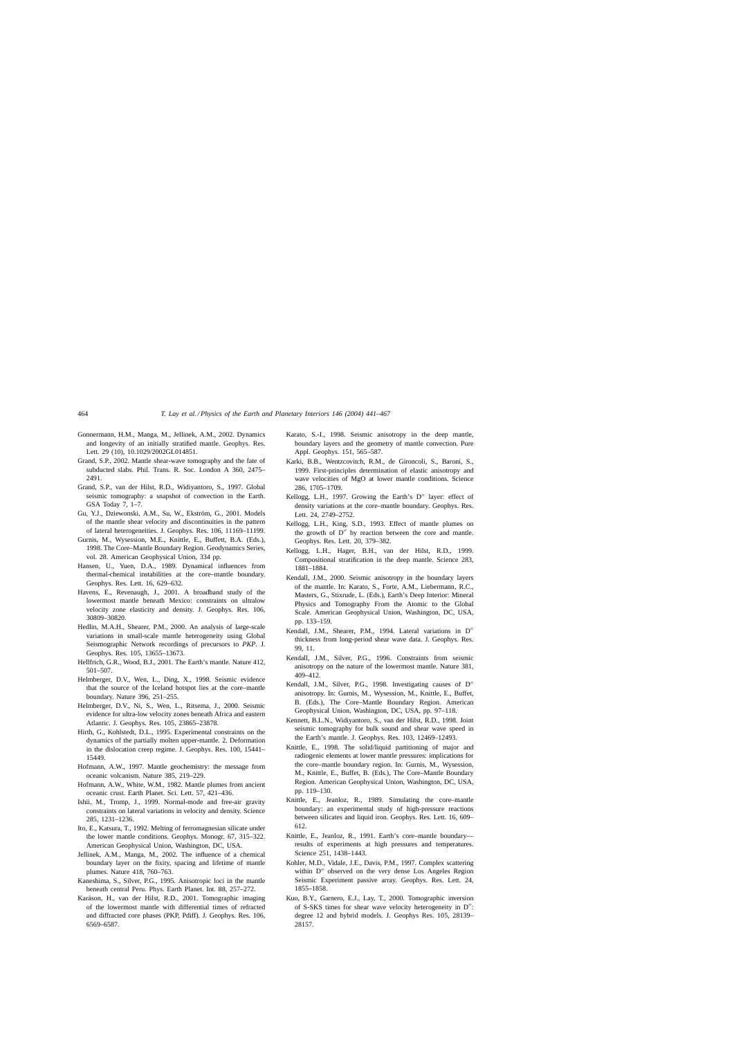- <span id="page-23-0"></span>Gonnermann, H.M., Manga, M., Jellinek, A.M., 2002. Dynamics and longevity of an initially stratified mantle. Geophys. Res. Lett. 29 (10), 10.1029/2002GL014851.
- Grand, S.P., 2002. Mantle shear-wave tomography and the fate of subducted slabs. Phil. Trans. R. Soc. London A 360, 2475– 2491.
- Grand, S.P., van der Hilst, R.D., Widiyantoro, S., 1997. Global seismic tomography: a snapshot of convection in the Earth. GSA Today 7, 1–7.
- Gu, Y.J., Dziewonski, A.M., Su, W., Ekström, G., 2001. Models of the mantle shear velocity and discontinuities in the pattern of lateral heterogeneities. J. Geophys. Res. 106, 11169–11199.
- Gurnis, M., Wysession, M.E., Knittle, E., Buffett, B.A. (Eds.), 1998. The Core–Mantle Boundary Region. Geodynamics Series, vol. 28. American Geophysical Union, 334 pp.
- Hansen, U., Yuen, D.A., 1989. Dynamical influences from thermal-chemical instabilities at the core–mantle boundary. Geophys. Res. Lett. 16, 629–632.
- Havens, E., Revenaugh, J., 2001. A broadband study of the lowermost mantle beneath Mexico: constraints on ultralow velocity zone elasticity and density. J. Geophys. Res. 106, 30809–30820.
- Hedlin, M.A.H., Shearer, P.M., 2000. An analysis of large-scale variations in small-scale mantle heterogeneity using Global Seismographic Network recordings of precursors to *PKP*. J. Geophys. Res. 105, 13655–13673.
- Hellfrich, G.R., Wood, B.J., 2001. The Earth's mantle. Nature 412, 501–507.
- Helmberger, D.V., Wen, L., Ding, X., 1998. Seismic evidence that the source of the Iceland hotspot lies at the core–mantle boundary. Nature 396, 251–255.
- Helmberger, D.V., Ni, S., Wen, L., Ritsema, J., 2000. Seismic evidence for ultra-low velocity zones beneath Africa and eastern Atlantic. J. Geophys. Res. 105, 23865–23878.
- Hirth, G., Kohlstedt, D.L., 1995. Experimental constraints on the dynamics of the partially molten upper-mantle. 2. Deformation in the dislocation creep regime. J. Geophys. Res. 100, 15441– 15449.
- Hofmann, A.W., 1997. Mantle geochemistry: the message from oceanic volcanism. Nature 385, 219–229.
- Hofmann, A.W., White, W.M., 1982. Mantle plumes from ancient oceanic crust. Earth Planet. Sci. Lett. 57, 421–436.
- Ishii, M., Tromp, J., 1999. Normal-mode and free-air gravity constraints on lateral variations in velocity and density. Science 285, 1231–1236.
- Ito, E., Katsura, T., 1992. Melting of ferromagnesian silicate under the lower mantle conditions. Geophys. Monogr. 67, 315–322. American Geophysical Union, Washington, DC, USA.
- Jellinek, A.M., Manga, M., 2002. The influence of a chemical boundary layer on the fixity, spacing and lifetime of mantle plumes. Nature 418, 760–763.
- Kaneshima, S., Silver, P.G., 1995. Anisotropic loci in the mantle beneath central Peru. Phys. Earth Planet. Int. 88, 257–272.
- Karáson, H., van der Hilst, R.D., 2001. Tomographic imaging of the lowermost mantle with differential times of refracted and diffracted core phases (PKP, Pdiff). J. Geophys. Res. 106, 6569–6587.
- Karato, S.-I., 1998. Seismic anisotropy in the deep mantle, boundary layers and the geometry of mantle convection. Pure Appl. Geophys. 151, 565–587.
- Karki, B.B., Wentzcovitch, R.M., de Gironcoli, S., Baroni, S., 1999. First-principles determination of elastic anisotropy and wave velocities of MgO at lower mantle conditions. Science 286, 1705–1709.
- Kellogg, L.H., 1997. Growing the Earth's D" layer: effect of density variations at the core–mantle boundary. Geophys. Res. Lett. 24, 2749–2752.
- Kellogg, L.H., King, S.D., 1993. Effect of mantle plumes on the growth of  $D''$  by reaction between the core and mantle. Geophys. Res. Lett. 20, 379–382.
- Kellogg, L.H., Hager, B.H., van der Hilst, R.D., 1999. Compositional stratification in the deep mantle. Science 283, 1881–1884.
- Kendall, J.M., 2000. Seismic anisotropy in the boundary layers of the mantle. In: Karato, S., Forte, A.M., Liebermann, R.C., Masters, G., Stixrude, L. (Eds.), Earth's Deep Interior: Mineral Physics and Tomography From the Atomic to the Global Scale. American Geophysical Union, Washington, DC, USA, pp. 133–159.
- Kendall, J.M., Shearer, P.M., 1994. Lateral variations in D" thickness from long-period shear wave data. J. Geophys. Res. 99, 11.
- Kendall, J.M., Silver, P.G., 1996. Constraints from seismic anisotropy on the nature of the lowermost mantle. Nature 381, 409–412.
- Kendall, J.M., Silver, P.G., 1998. Investigating causes of  $D''$ anisotropy. In: Gurnis, M., Wysession, M., Knittle, E., Buffet, B. (Eds.), The Core–Mantle Boundary Region. American Geophysical Union, Washington, DC, USA, pp. 97–118.
- Kennett, B.L.N., Widiyantoro, S., van der Hilst, R.D., 1998. Joint seismic tomography for bulk sound and shear wave speed in the Earth's mantle. J. Geophys. Res. 103, 12469–12493.
- Knittle, E., 1998. The solid/liquid partitioning of major and radiogenic elements at lower mantle pressures: implications for the core–mantle boundary region. In: Gurnis, M., Wysession, M., Knittle, E., Buffet, B. (Eds.), The Core–Mantle Boundary Region. American Geophysical Union, Washington, DC, USA, pp. 119–130.
- Knittle, E., Jeanloz, R., 1989. Simulating the core–mantle boundary: an experimental study of high-pressure reactions between silicates and liquid iron. Geophys. Res. Lett. 16, 609– 612.
- Knittle, E., Jeanloz, R., 1991. Earth's core–mantle boundary results of experiments at high pressures and temperatures. Science 251, 1438–1443.
- Kohler, M.D., Vidale, J.E., Davis, P.M., 1997. Complex scattering within D" observed on the very dense Los Angeles Region Seismic Experiment passive array. Geophys. Res. Lett. 24, 1855–1858.
- Kuo, B.Y., Garnero, E.J., Lay, T., 2000. Tomographic inversion of S-SKS times for shear wave velocity heterogeneity in  $D''$ : degree 12 and hybrid models. J. Geophys Res. 105, 28139– 28157.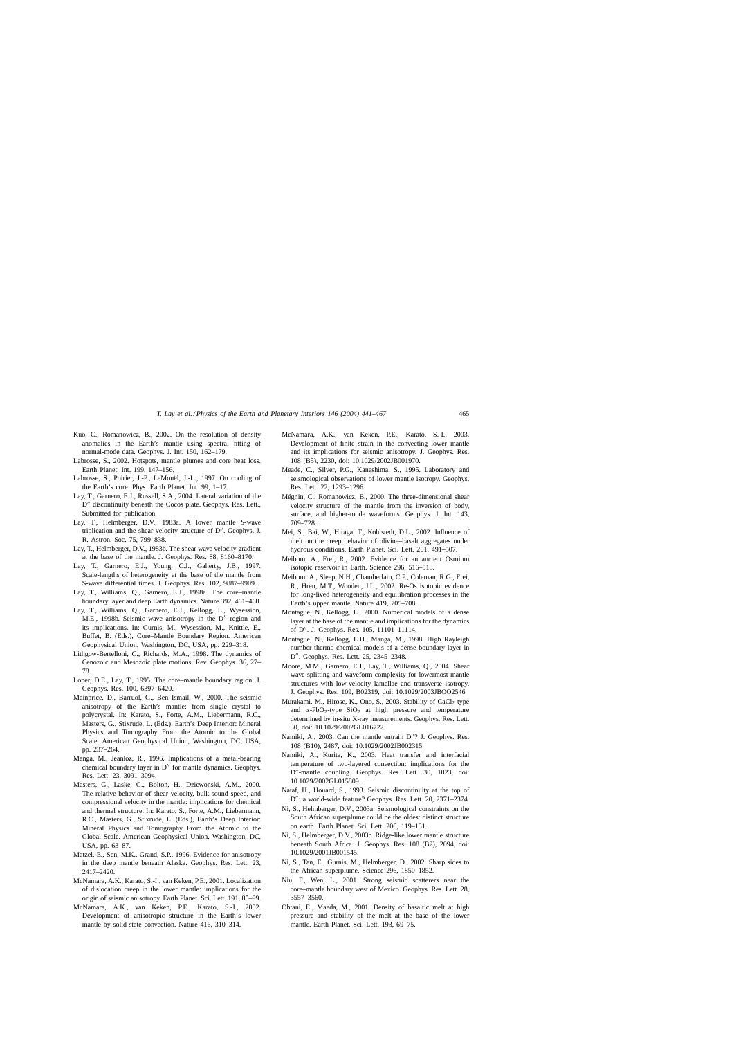- <span id="page-24-0"></span>Kuo, C., Romanowicz, B., 2002. On the resolution of density anomalies in the Earth's mantle using spectral fitting of normal-mode data. Geophys. J. Int. 150, 162–179.
- Labrosse, S., 2002. Hotspots, mantle plumes and core heat loss. Earth Planet. Int. 199, 147–156.
- Labrosse, S., Poirier, J.-P., LeMouël, J.-L., 1997. On cooling of the Earth's core. Phys. Earth Planet. Int. 99, 1–17.
- Lay, T., Garnero, E.J., Russell, S.A., 2004. Lateral variation of the D" discontinuity beneath the Cocos plate. Geophys. Res. Lett., Submitted for publication.
- Lay, T., Helmberger, D.V., 1983a. A lower mantle *S*-wave triplication and the shear velocity structure of D". Geophys. J. R. Astron. Soc. 75, 799–838.
- Lay, T., Helmberger, D.V., 1983b. The shear wave velocity gradient at the base of the mantle. J. Geophys. Res. 88, 8160–8170.
- Lay, T., Garnero, E.J., Young, C.J., Gaherty, J.B., 1997. Scale-lengths of heterogeneity at the base of the mantle from S-wave differential times. J. Geophys. Res. 102, 9887–9909.
- Lay, T., Williams, Q., Garnero, E.J., 1998a. The core–mantle boundary layer and deep Earth dynamics. Nature 392, 461–468.
- Lay, T., Williams, Q., Garnero, E.J., Kellogg, L., Wysession, M.E., 1998b. Seismic wave anisotropy in the  $D''$  region and its implications. In: Gurnis, M., Wysession, M., Knittle, E., Buffet, B. (Eds.), Core–Mantle Boundary Region. American Geophysical Union, Washington, DC, USA, pp. 229–318.
- Lithgow-Bertelloni, C., Richards, M.A., 1998. The dynamics of Cenozoic and Mesozoic plate motions. Rev. Geophys. 36, 27– 78.
- Loper, D.E., Lay, T., 1995. The core–mantle boundary region. J. Geophys. Res. 100, 6397–6420.
- Mainprice, D., Barruol, G., Ben Ismail, W., 2000. The seismic anisotropy of the Earth's mantle: from single crystal to polycrystal. In: Karato, S., Forte, A.M., Liebermann, R.C., Masters, G., Stixrude, L. (Eds.), Earth's Deep Interior: Mineral Physics and Tomography From the Atomic to the Global Scale. American Geophysical Union, Washington, DC, USA, pp. 237–264.
- Manga, M., Jeanloz, R., 1996. Implications of a metal-bearing chemical boundary layer in  $D''$  for mantle dynamics. Geophys. Res. Lett. 23, 3091–3094.
- Masters, G., Laske, G., Bolton, H., Dziewonski, A.M., 2000. The relative behavior of shear velocity, bulk sound speed, and compressional velocity in the mantle: implications for chemical and thermal structure. In: Karato, S., Forte, A.M., Liebermann, R.C., Masters, G., Stixrude, L. (Eds.), Earth's Deep Interior: Mineral Physics and Tomography From the Atomic to the Global Scale. American Geophysical Union, Washington, DC, USA, pp. 63–87.
- Matzel, E., Sen, M.K., Grand, S.P., 1996. Evidence for anisotropy in the deep mantle beneath Alaska. Geophys. Res. Lett. 23, 2417–2420.
- McNamara, A.K., Karato, S.-I., van Keken, P.E., 2001. Localization of dislocation creep in the lower mantle: implications for the origin of seismic anisotropy. Earth Planet. Sci. Lett. 191, 85–99.
- McNamara, A.K., van Keken, P.E., Karato, S.-I., 2002. Development of anisotropic structure in the Earth's lower mantle by solid-state convection. Nature 416, 310–314.
- McNamara, A.K., van Keken, P.E., Karato, S.-I., 2003. Development of finite strain in the convecting lower mantle and its implications for seismic anisotropy. J. Geophys. Res. 108 (B5), 2230, doi: 10.1029/2002JB001970.
- Meade, C., Silver, P.G., Kaneshima, S., 1995. Laboratory and seismological observations of lower mantle isotropy. Geophys. Res. Lett. 22, 1293–1296.
- Mégnin, C., Romanowicz, B., 2000. The three-dimensional shear velocity structure of the mantle from the inversion of body, surface, and higher-mode waveforms. Geophys. J. Int. 143, 709–728.
- Mei, S., Bai, W., Hiraga, T., Kohlstedt, D.L., 2002. Influence of melt on the creep behavior of olivine–basalt aggregates under hydrous conditions. Earth Planet. Sci. Lett. 201, 491–507.
- Meibom, A., Frei, R., 2002. Evidence for an ancient Osmium isotopic reservoir in Earth. Science 296, 516–518.
- Meibom, A., Sleep, N.H., Chamberlain, C.P., Coleman, R.G., Frei, R., Hren, M.T., Wooden, J.L., 2002. Re-Os isotopic evidence for long-lived heterogeneity and equilibration processes in the Earth's upper mantle. Nature 419, 705–708.
- Montague, N., Kellogg, L., 2000. Numerical models of a dense layer at the base of the mantle and implications for the dynamics of D". J. Geophys. Res. 105, 11101–11114.
- Montague, N., Kellogg, L.H., Manga, M., 1998. High Rayleigh number thermo-chemical models of a dense boundary layer in D". Geophys. Res. Lett. 25, 2345–2348.
- Moore, M.M., Garnero, E.J., Lay, T., Williams, Q., 2004. Shear wave splitting and waveform complexity for lowermost mantle structures with low-velocity lamellae and transverse isotropy. J. Geophys. Res. 109, B02319, doi: 10.1029/2003JBOO2546
- Murakami, M., Hirose, K., Ono, S., 2003. Stability of CaCl<sub>2</sub>-type and  $\alpha$ -PbO<sub>2</sub>-type SiO<sub>2</sub> at high pressure and temperature determined by in-situ X-ray measurements. Geophys. Res. Lett. 30, doi: 10.1029/2002GL016722.
- Namiki, A., 2003. Can the mantle entrain D"? J. Geophys. Res. 108 (B10), 2487, doi: 10.1029/2002JB002315.
- Namiki, A., Kurita, K., 2003. Heat transfer and interfacial temperature of two-layered convection: implications for the D"-mantle coupling. Geophys. Res. Lett. 30, 1023, doi: 10.1029/2002GL015809.
- Nataf, H., Houard, S., 1993. Seismic discontinuity at the top of D": a world-wide feature? Geophys. Res. Lett. 20, 2371-2374.
- Ni, S., Helmberger, D.V., 2003a. Seismological constraints on the South African superplume could be the oldest distinct structure on earth. Earth Planet. Sci. Lett. 206, 119–131.
- Ni, S., Helmberger, D.V., 2003b. Ridge-like lower mantle structure beneath South Africa. J. Geophys. Res. 108 (B2), 2094, doi: 10.1029/2001JB001545.
- Ni, S., Tan, E., Gurnis, M., Helmberger, D., 2002. Sharp sides to the African superplume. Science 296, 1850–1852.
- Niu, F., Wen, L., 2001. Strong seismic scatterers near the core–mantle boundary west of Mexico. Geophys. Res. Lett. 28, 3557–3560.
- Ohtani, E., Maeda, M., 2001. Density of basaltic melt at high pressure and stability of the melt at the base of the lower mantle. Earth Planet. Sci. Lett. 193, 69–75.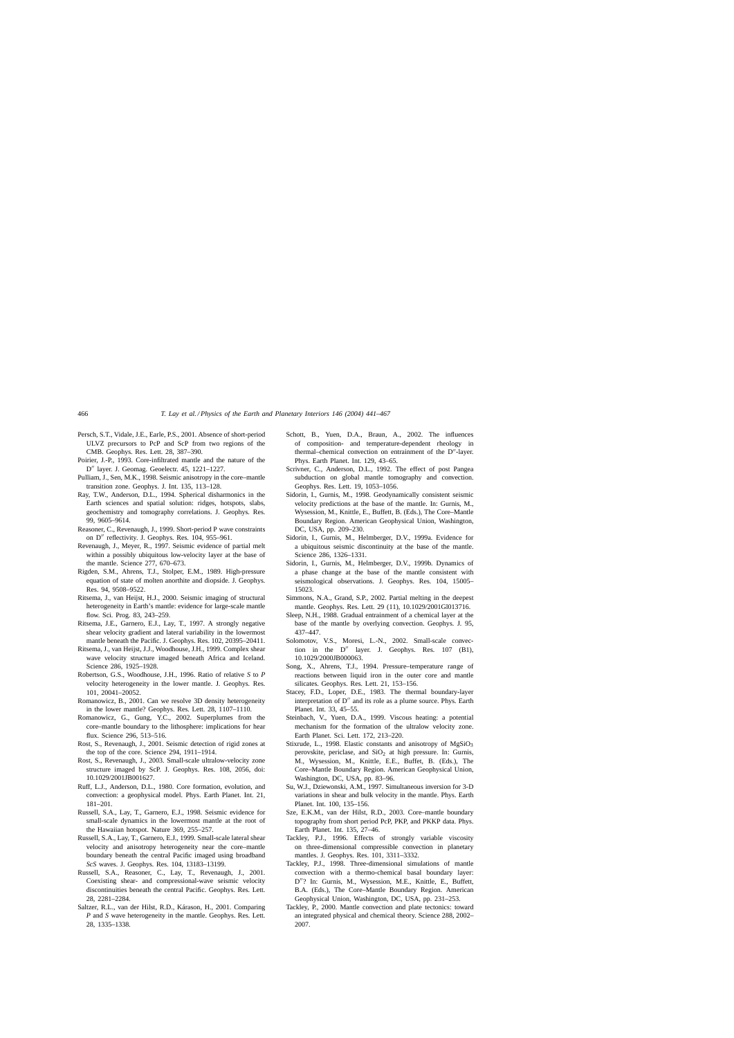- <span id="page-25-0"></span>Persch, S.T., Vidale, J.E., Earle, P.S., 2001. Absence of short-period ULVZ precursors to PcP and ScP from two regions of the CMB. Geophys. Res. Lett. 28, 387–390.
- Poirier, J.-P., 1993. Core-infiltrated mantle and the nature of the D" layer. J. Geomag. Geoelectr. 45, 1221-1227.
- Pulliam, J., Sen, M.K., 1998. Seismic anisotropy in the core–mantle transition zone. Geophys. J. Int. 135, 113–128.
- Ray, T.W., Anderson, D.L., 1994. Spherical disharmonics in the Earth sciences and spatial solution: ridges, hotspots, slabs, geochemistry and tomography correlations. J. Geophys. Res. 99, 9605–9614.
- Reasoner, C., Revenaugh, J., 1999. Short-period P wave constraints on D" reflectivity. J. Geophys. Res. 104, 955-961.
- Revenaugh, J., Meyer, R., 1997. Seismic evidence of partial melt within a possibly ubiquitous low-velocity layer at the base of the mantle. Science 277, 670–673.
- Rigden, S.M., Ahrens, T.J., Stolper, E.M., 1989. High-pressure equation of state of molten anorthite and diopside. J. Geophys. Res. 94, 9508–9522.
- Ritsema, J., van Heijst, H.J., 2000. Seismic imaging of structural heterogeneity in Earth's mantle: evidence for large-scale mantle flow. Sci. Prog. 83, 243–259.
- Ritsema, J.E., Garnero, E.J., Lay, T., 1997. A strongly negative shear velocity gradient and lateral variability in the lowermost mantle beneath the Pacific. J. Geophys. Res. 102, 20395–20411.
- Ritsema, J., van Heijst, J.J., Woodhouse, J.H., 1999. Complex shear wave velocity structure imaged beneath Africa and Iceland. Science 286, 1925–1928.
- Robertson, G.S., Woodhouse, J.H., 1996. Ratio of relative *S* to *P* velocity heterogeneity in the lower mantle. J. Geophys. Res. 101, 20041–20052.
- Romanowicz, B., 2001. Can we resolve 3D density heterogeneity in the lower mantle? Geophys. Res. Lett. 28, 1107–1110.
- Romanowicz, G., Gung, Y.C., 2002. Superplumes from the core–mantle boundary to the lithosphere: implications for hear flux. Science 296, 513–516.
- Rost, S., Revenaugh, J., 2001. Seismic detection of rigid zones at the top of the core. Science 294, 1911–1914.
- Rost, S., Revenaugh, J., 2003. Small-scale ultralow-velocity zone structure imaged by ScP. J. Geophys. Res. 108, 2056, doi: 10.1029/2001JB001627.
- Ruff, L.J., Anderson, D.L., 1980. Core formation, evolution, and convection: a geophysical model. Phys. Earth Planet. Int. 21, 181–201.
- Russell, S.A., Lay, T., Garnero, E.J., 1998. Seismic evidence for small-scale dynamics in the lowermost mantle at the root of the Hawaiian hotspot. Nature 369, 255–257.
- Russell, S.A., Lay, T., Garnero, E.J., 1999. Small-scale lateral shear velocity and anisotropy heterogeneity near the core–mantle boundary beneath the central Pacific imaged using broadband *ScS* waves. J. Geophys. Res. 104, 13183–13199.
- Russell, S.A., Reasoner, C., Lay, T., Revenaugh, J., 2001. Coexisting shear- and compressional-wave seismic velocity discontinuities beneath the central Pacific. Geophys. Res. Lett. 28, 2281–2284.
- Saltzer, R.L., van der Hilst, R.D., Kárason, H., 2001. Comparing *P* and *S* wave heterogeneity in the mantle. Geophys. Res. Lett. 28, 1335–1338.
- Schott, B., Yuen, D.A., Braun, A., 2002. The influences of composition- and temperature-dependent rheology in thermal-chemical convection on entrainment of the D"-layer. Phys. Earth Planet. Int. 129, 43–65.
- Scrivner, C., Anderson, D.L., 1992. The effect of post Pangea subduction on global mantle tomography and convection. Geophys. Res. Lett. 19, 1053–1056.
- Sidorin, I., Gurnis, M., 1998. Geodynamically consistent seismic velocity predictions at the base of the mantle. In: Gurnis, M., Wysession, M., Knittle, E., Buffett, B. (Eds.), The Core–Mantle Boundary Region. American Geophysical Union, Washington, DC, USA, pp. 209–230.
- Sidorin, I., Gurnis, M., Helmberger, D.V., 1999a. Evidence for a ubiquitous seismic discontinuity at the base of the mantle. Science 286, 1326–1331.
- Sidorin, I., Gurnis, M., Helmberger, D.V., 1999b. Dynamics of a phase change at the base of the mantle consistent with seismological observations. J. Geophys. Res. 104, 15005– 15023.
- Simmons, N.A., Grand, S.P., 2002. Partial melting in the deepest mantle. Geophys. Res. Lett. 29 (11), 10.1029/2001Gl013716.
- Sleep, N.H., 1988. Gradual entrainment of a chemical layer at the base of the mantle by overlying convection. Geophys. J. 95, 437–447.
- Solomotov, V.S., Moresi, L.-N., 2002. Small-scale convection in the  $D''$  layer. J. Geophys. Res. 107 (B1), 10.1029/2000JB000063.
- Song, X., Ahrens, T.J., 1994. Pressure–temperature range of reactions between liquid iron in the outer core and mantle silicates. Geophys. Res. Lett. 21, 153–156.
- Stacey, F.D., Loper, D.E., 1983. The thermal boundary-layer interpretation of  $D''$  and its role as a plume source. Phys. Earth Planet. Int. 33, 45–55.
- Steinbach, V., Yuen, D.A., 1999. Viscous heating: a potential mechanism for the formation of the ultralow velocity zone. Earth Planet. Sci. Lett. 172, 213–220.
- Stixrude, L., 1998. Elastic constants and anisotropy of MgSiO<sub>3</sub> perovskite, periclase, and  $SiO<sub>2</sub>$  at high pressure. In: Gurnis, M., Wysession, M., Knittle, E.E., Buffet, B. (Eds.), The Core–Mantle Boundary Region. American Geophysical Union, Washington, DC, USA, pp. 83–96.
- Su, W.J., Dziewonski, A.M., 1997. Simultaneous inversion for 3-D variations in shear and bulk velocity in the mantle. Phys. Earth Planet. Int. 100, 135–156.
- Sze, E.K.M., van der Hilst, R.D., 2003. Core–mantle boundary topography from short period PcP, PKP, and PKKP data. Phys. Earth Planet. Int. 135, 27–46.
- Tackley, P.J., 1996. Effects of strongly variable viscosity on three-dimensional compressible convection in planetary mantles. J. Geophys. Res. 101, 3311–3332.
- Tackley, P.J., 1998. Three-dimensional simulations of mantle convection with a thermo-chemical basal boundary layer: D"? In: Gurnis, M., Wysession, M.E., Knittle, E., Buffett, B.A. (Eds.), The Core–Mantle Boundary Region. American Geophysical Union, Washington, DC, USA, pp. 231–253.
- Tackley, P., 2000. Mantle convection and plate tectonics: toward an integrated physical and chemical theory. Science 288, 2002– 2007.